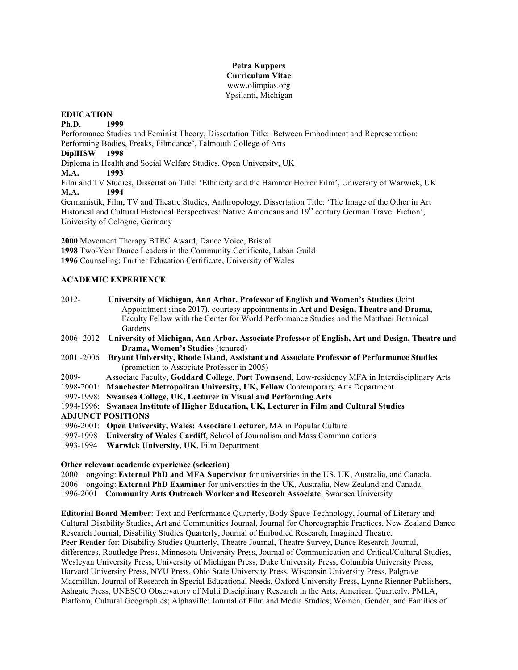#### **Petra Kuppers Curriculum Vitae** www.olimpias.org Ypsilanti, Michigan

#### **EDUCATION**

**Ph.D. 1999**

Performance Studies and Feminist Theory, Dissertation Title: 'Between Embodiment and Representation: Performing Bodies, Freaks, Filmdance', Falmouth College of Arts **DiplHSW 1998** 

Diploma in Health and Social Welfare Studies, Open University, UK

**M.A. 1993**

Film and TV Studies, Dissertation Title: 'Ethnicity and the Hammer Horror Film', University of Warwick, UK **M.A. 1994**

Germanistik, Film, TV and Theatre Studies, Anthropology, Dissertation Title: 'The Image of the Other in Art Historical and Cultural Historical Perspectives: Native Americans and 19<sup>th</sup> century German Travel Fiction', University of Cologne, Germany

**2000** Movement Therapy BTEC Award, Dance Voice, Bristol **1998** Two-Year Dance Leaders in the Community Certificate, Laban Guild **1996** Counseling: Further Education Certificate, University of Wales

## **ACADEMIC EXPERIENCE**

| 2012-                    | University of Michigan, Ann Arbor, Professor of English and Women's Studies (Joint<br>Appointment since 2017), courtesy appointments in Art and Design, Theatre and Drama, |
|--------------------------|----------------------------------------------------------------------------------------------------------------------------------------------------------------------------|
|                          | Faculty Fellow with the Center for World Performance Studies and the Matthaei Botanical                                                                                    |
|                          | Gardens                                                                                                                                                                    |
|                          | 2006-2012 University of Michigan, Ann Arbor, Associate Professor of English, Art and Design, Theatre and                                                                   |
|                          | <b>Drama, Women's Studies (tenured)</b>                                                                                                                                    |
| 2001 -2006               | Bryant University, Rhode Island, Assistant and Associate Professor of Performance Studies                                                                                  |
|                          | (promotion to Associate Professor in 2005)                                                                                                                                 |
| 2009-                    | Associate Faculty, Goddard College, Port Townsend, Low-residency MFA in Interdisciplinary Arts                                                                             |
|                          | 1998-2001: Manchester Metropolitan University, UK, Fellow Contemporary Arts Department                                                                                     |
|                          | 1997-1998: Swansea College, UK, Lecturer in Visual and Performing Arts                                                                                                     |
|                          | 1994-1996: Swansea Institute of Higher Education, UK, Lecturer in Film and Cultural Studies                                                                                |
| <b>ADJUNCT POSITIONS</b> |                                                                                                                                                                            |
|                          | 1996-2001: Open University, Wales: Associate Lecturer, MA in Popular Culture                                                                                               |
|                          | 1997-1998 University of Wales Cardiff, School of Journalism and Mass Communications                                                                                        |
|                          | 1993-1994 Warwick University, UK, Film Department                                                                                                                          |

#### **Other relevant academic experience (selection)**

2000 – ongoing: **External PhD and MFA Supervisor** for universities in the US, UK, Australia, and Canada. 2006 – ongoing: **External PhD Examiner** for universities in the UK, Australia, New Zealand and Canada. 1996-2001 **Community Arts Outreach Worker and Research Associate**, Swansea University

**Editorial Board Member**: Text and Performance Quarterly, Body Space Technology, Journal of Literary and Cultural Disability Studies, Art and Communities Journal, Journal for Choreographic Practices, New Zealand Dance Research Journal, Disability Studies Quarterly, Journal of Embodied Research, Imagined Theatre. **Peer Reader** for: Disability Studies Quarterly, Theatre Journal, Theatre Survey, Dance Research Journal, differences, Routledge Press, Minnesota University Press, Journal of Communication and Critical/Cultural Studies, Wesleyan University Press, University of Michigan Press, Duke University Press, Columbia University Press, Harvard University Press, NYU Press, Ohio State University Press, Wisconsin University Press, Palgrave Macmillan, Journal of Research in Special Educational Needs, Oxford University Press, Lynne Rienner Publishers, Ashgate Press, UNESCO Observatory of Multi Disciplinary Research in the Arts, American Quarterly, PMLA, Platform, Cultural Geographies; Alphaville: Journal of Film and Media Studies; Women, Gender, and Families of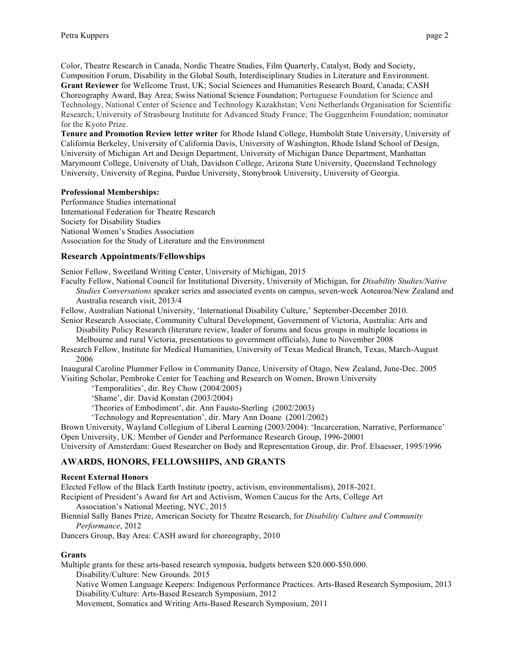Color, Theatre Research in Canada, Nordic Theatre Studies, Film Quarterly, Catalyst, Body and Society, Composition Forum, Disability in the Global South, Interdisciplinary Studies in Literature and Environment. **Grant Reviewer** for Wellcome Trust, UK; Social Sciences and Humanities Research Board, Canada; CASH Choreography Award, Bay Area; Swiss National Science Foundation; Portuguese Foundation for Science and Technology, National Center of Science and Technology Kazakhstan; Veni Netherlands Organisation for Scientific Research; University of Strasbourg Institute for Advanced Study France; The Guggenheim Foundation; nominator for the Kyoto Prize.

**Tenure and Promotion Review letter writer** for Rhode Island College, Humboldt State University, University of California Berkeley, University of California Davis, University of Washington, Rhode Island School of Design, University of Michigan Art and Design Department, University of Michigan Dance Department, Manhattan Marymount College, University of Utah, Davidson College, Arizona State University, Queensland Technology University, University of Regina, Purdue University, Stonybrook University, University of Georgia.

## **Professional Memberships:**

Performance Studies international International Federation for Theatre Research Society for Disability Studies National Women's Studies Association Association for the Study of Literature and the Environment

## **Research Appointments/Fellowships**

Senior Fellow, Sweetland Writing Center, University of Michigan, 2015

Faculty Fellow, National Council for Institutional Diversity, University of Michigan, for *Disability Studies/Native Studies Conversations* speaker series and associated events on campus, seven-week Aotearoa/New Zealand and Australia research visit, 2013/4

Fellow, Australian National University, 'International Disability Culture,' September-December 2010.

Senior Research Associate, Community Cultural Development, Government of Victoria, Australia: Arts and Disability Policy Research (literature review, leader of forums and focus groups in multiple locations in

Melbourne and rural Victoria, presentations to government officials), June to November 2008

Research Fellow, Institute for Medical Humanities, University of Texas Medical Branch, Texas, March-August 2006

Inaugural Caroline Plummer Fellow in Community Dance, University of Otago, New Zealand, June-Dec. 2005 Visiting Scholar, Pembroke Center for Teaching and Research on Women, Brown University

'Temporalities', dir. Rey Chow (2004/2005)

'Shame', dir. David Konstan (2003/2004)

'Theories of Embodiment', dir. Ann Fausto-Sterling (2002/2003)

'Technology and Representation', dir. Mary Ann Doane (2001/2002)

Brown University, Wayland Collegium of Liberal Learning (2003/2004): 'Incarceration, Narrative, Performance' Open University, UK: Member of Gender and Performance Research Group, 1996-20001

University of Amsterdam: Guest Researcher on Body and Representation Group, dir. Prof. Elsaesser, 1995/1996

## **AWARDS, HONORS, FELLOWSHIPS, AND GRANTS**

#### **Recent External Honors**

Elected Fellow of the Black Earth Institute (poetry, activism, environmentalism), 2018-2021.

Recipient of President's Award for Art and Activism, Women Caucus for the Arts, College Art

Association's National Meeting, NYC, 2015

Biennial Sally Banes Prize, American Society for Theatre Research, for *Disability Culture and Community Performance*, 2012

Dancers Group, Bay Area: CASH award for choreography, 2010

## **Grants**

Multiple grants for these arts-based research symposia, budgets between \$20.000-\$50.000.

Disability/Culture: New Grounds. 2015

Native Women Language Keepers: Indigenous Performance Practices. Arts-Based Research Symposium, 2013 Disability/Culture: Arts-Based Research Symposium, 2012

Movement, Somatics and Writing Arts-Based Research Symposium, 2011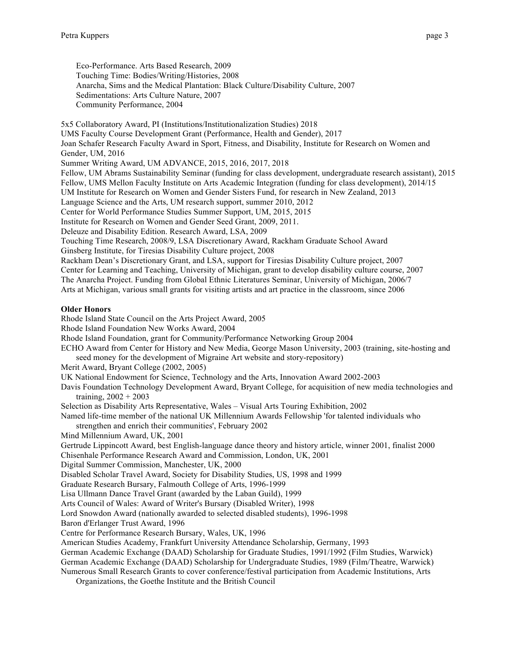Eco-Performance. Arts Based Research, 2009 Touching Time: Bodies/Writing/Histories, 2008 Anarcha, Sims and the Medical Plantation: Black Culture/Disability Culture, 2007 Sedimentations: Arts Culture Nature, 2007 Community Performance, 2004

5x5 Collaboratory Award, PI (Institutions/Institutionalization Studies) 2018 UMS Faculty Course Development Grant (Performance, Health and Gender), 2017 Joan Schafer Research Faculty Award in Sport, Fitness, and Disability, Institute for Research on Women and Gender, UM, 2016 Summer Writing Award, UM ADVANCE, 2015, 2016, 2017, 2018 Fellow, UM Abrams Sustainability Seminar (funding for class development, undergraduate research assistant), 2015 Fellow, UMS Mellon Faculty Institute on Arts Academic Integration (funding for class development), 2014/15 UM Institute for Research on Women and Gender Sisters Fund, for research in New Zealand, 2013 Language Science and the Arts, UM research support, summer 2010, 2012 Center for World Performance Studies Summer Support, UM, 2015, 2015 Institute for Research on Women and Gender Seed Grant, 2009, 2011. Deleuze and Disability Edition. Research Award, LSA, 2009 Touching Time Research, 2008/9, LSA Discretionary Award, Rackham Graduate School Award Ginsberg Institute, for Tiresias Disability Culture project, 2008 Rackham Dean's Discretionary Grant, and LSA, support for Tiresias Disability Culture project, 2007 Center for Learning and Teaching, University of Michigan, grant to develop disability culture course, 2007 The Anarcha Project. Funding from Global Ethnic Literatures Seminar, University of Michigan, 2006/7 Arts at Michigan, various small grants for visiting artists and art practice in the classroom, since 2006 **Older Honors** Rhode Island State Council on the Arts Project Award, 2005 Rhode Island Foundation New Works Award, 2004

Rhode Island Foundation, grant for Community/Performance Networking Group 2004

ECHO Award from Center for History and New Media, George Mason University, 2003 (training, site-hosting and seed money for the development of Migraine Art website and story-repository)

Merit Award, Bryant College (2002, 2005)

UK National Endowment for Science, Technology and the Arts, Innovation Award 2002-2003

Davis Foundation Technology Development Award, Bryant College, for acquisition of new media technologies and training,  $2002 + 2003$ 

Selection as Disability Arts Representative, Wales – Visual Arts Touring Exhibition, 2002

Named life-time member of the national UK Millennium Awards Fellowship 'for talented individuals who

strengthen and enrich their communities', February 2002

Mind Millennium Award, UK, 2001

Gertrude Lippincott Award, best English-language dance theory and history article, winner 2001, finalist 2000

Chisenhale Performance Research Award and Commission, London, UK, 2001

Digital Summer Commission, Manchester, UK, 2000

Disabled Scholar Travel Award, Society for Disability Studies, US, 1998 and 1999

Graduate Research Bursary, Falmouth College of Arts, 1996-1999

Lisa Ullmann Dance Travel Grant (awarded by the Laban Guild), 1999

Arts Council of Wales: Award of Writer's Bursary (Disabled Writer), 1998

Lord Snowdon Award (nationally awarded to selected disabled students), 1996-1998

Baron d'Erlanger Trust Award, 1996

Centre for Performance Research Bursary, Wales, UK, 1996

American Studies Academy, Frankfurt University Attendance Scholarship, Germany, 1993

German Academic Exchange (DAAD) Scholarship for Graduate Studies, 1991/1992 (Film Studies, Warwick)

German Academic Exchange (DAAD) Scholarship for Undergraduate Studies, 1989 (Film/Theatre, Warwick) Numerous Small Research Grants to cover conference/festival participation from Academic Institutions, Arts

Organizations, the Goethe Institute and the British Council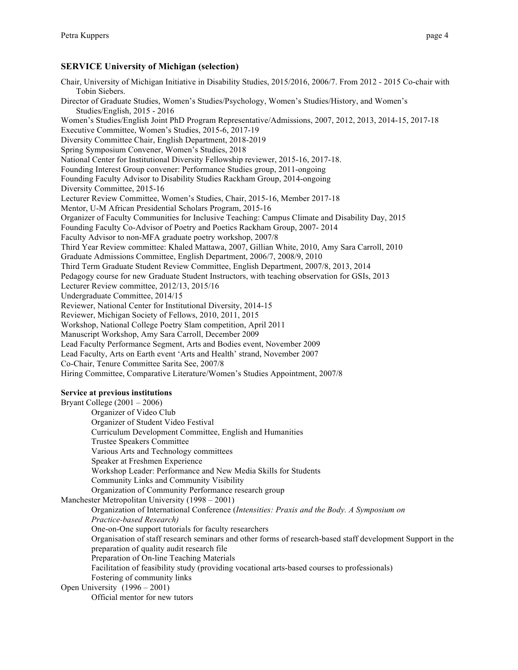## **SERVICE University of Michigan (selection)**

Chair, University of Michigan Initiative in Disability Studies, 2015/2016, 2006/7. From 2012 - 2015 Co-chair with Tobin Siebers. Director of Graduate Studies, Women's Studies/Psychology, Women's Studies/History, and Women's Studies/English, 2015 - 2016 Women's Studies/English Joint PhD Program Representative/Admissions, 2007, 2012, 2013, 2014-15, 2017-18 Executive Committee, Women's Studies, 2015-6, 2017-19 Diversity Committee Chair, English Department, 2018-2019 Spring Symposium Convener, Women's Studies, 2018 National Center for Institutional Diversity Fellowship reviewer, 2015-16, 2017-18. Founding Interest Group convener: Performance Studies group, 2011-ongoing Founding Faculty Advisor to Disability Studies Rackham Group, 2014-ongoing Diversity Committee, 2015-16 Lecturer Review Committee, Women's Studies, Chair, 2015-16, Member 2017-18 Mentor, U-M African Presidential Scholars Program, 2015-16 Organizer of Faculty Communities for Inclusive Teaching: Campus Climate and Disability Day, 2015 Founding Faculty Co-Advisor of Poetry and Poetics Rackham Group, 2007- 2014 Faculty Advisor to non-MFA graduate poetry workshop, 2007/8 Third Year Review committee: Khaled Mattawa, 2007, Gillian White, 2010, Amy Sara Carroll, 2010 Graduate Admissions Committee, English Department, 2006/7, 2008/9, 2010 Third Term Graduate Student Review Committee, English Department, 2007/8, 2013, 2014 Pedagogy course for new Graduate Student Instructors, with teaching observation for GSIs, 2013 Lecturer Review committee, 2012/13, 2015/16 Undergraduate Committee, 2014/15 Reviewer, National Center for Institutional Diversity, 2014-15 Reviewer, Michigan Society of Fellows, 2010, 2011, 2015 Workshop, National College Poetry Slam competition, April 2011 Manuscript Workshop, Amy Sara Carroll, December 2009 Lead Faculty Performance Segment, Arts and Bodies event, November 2009 Lead Faculty, Arts on Earth event 'Arts and Health' strand, November 2007 Co-Chair, Tenure Committee Sarita See, 2007/8 Hiring Committee, Comparative Literature/Women's Studies Appointment, 2007/8 **Service at previous institutions** Bryant College (2001 – 2006) Organizer of Video Club Organizer of Student Video Festival Curriculum Development Committee, English and Humanities Trustee Speakers Committee Various Arts and Technology committees Speaker at Freshmen Experience Workshop Leader: Performance and New Media Skills for Students Community Links and Community Visibility Organization of Community Performance research group Manchester Metropolitan University (1998 – 2001) Organization of International Conference (*Intensities: Praxis and the Body. A Symposium on Practice-based Research)*

One-on-One support tutorials for faculty researchers

Organisation of staff research seminars and other forms of research-based staff development Support in the preparation of quality audit research file

Preparation of On-line Teaching Materials

Facilitation of feasibility study (providing vocational arts-based courses to professionals)

Fostering of community links

Open University (1996 – 2001)

Official mentor for new tutors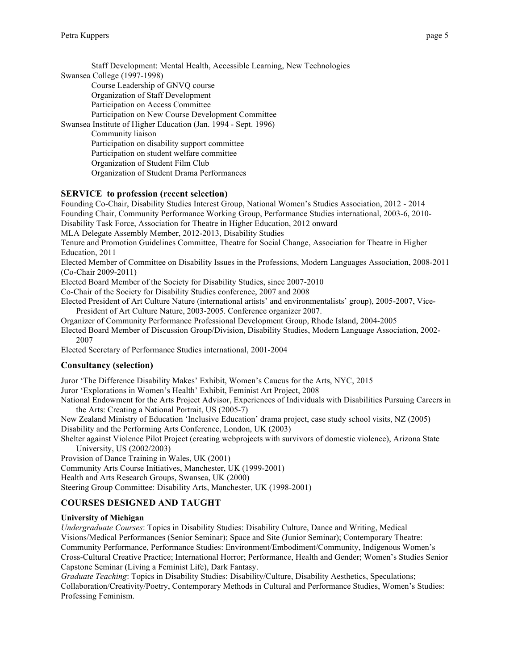Staff Development: Mental Health, Accessible Learning, New Technologies Swansea College (1997-1998) Course Leadership of GNVQ course Organization of Staff Development Participation on Access Committee Participation on New Course Development Committee Swansea Institute of Higher Education (Jan. 1994 - Sept. 1996) Community liaison Participation on disability support committee Participation on student welfare committee Organization of Student Film Club Organization of Student Drama Performances

## **SERVICE to profession (recent selection)**

Founding Co-Chair, Disability Studies Interest Group, National Women's Studies Association, 2012 - 2014 Founding Chair, Community Performance Working Group, Performance Studies international, 2003-6, 2010- Disability Task Force, Association for Theatre in Higher Education, 2012 onward MLA Delegate Assembly Member, 2012-2013, Disability Studies Tenure and Promotion Guidelines Committee, Theatre for Social Change, Association for Theatre in Higher Education, 2011

Elected Member of Committee on Disability Issues in the Professions, Modern Languages Association, 2008-2011 (Co-Chair 2009-2011)

Elected Board Member of the Society for Disability Studies, since 2007-2010

Co-Chair of the Society for Disability Studies conference, 2007 and 2008

Elected President of Art Culture Nature (international artists' and environmentalists' group), 2005-2007, Vice-President of Art Culture Nature, 2003-2005. Conference organizer 2007.

Organizer of Community Performance Professional Development Group, Rhode Island, 2004-2005

Elected Board Member of Discussion Group/Division, Disability Studies, Modern Language Association, 2002- 2007

Elected Secretary of Performance Studies international, 2001-2004

#### **Consultancy (selection)**

Juror 'The Difference Disability Makes' Exhibit, Women's Caucus for the Arts, NYC, 2015

Juror 'Explorations in Women's Health' Exhibit, Feminist Art Project, 2008

National Endowment for the Arts Project Advisor, Experiences of Individuals with Disabilities Pursuing Careers in the Arts: Creating a National Portrait, US (2005-7)

New Zealand Ministry of Education 'Inclusive Education' drama project, case study school visits, NZ (2005) Disability and the Performing Arts Conference, London, UK (2003)

Shelter against Violence Pilot Project (creating webprojects with survivors of domestic violence), Arizona State University, US (2002/2003)

Provision of Dance Training in Wales, UK (2001)

Community Arts Course Initiatives, Manchester, UK (1999-2001)

Health and Arts Research Groups, Swansea, UK (2000)

Steering Group Committee: Disability Arts, Manchester, UK (1998-2001)

## **COURSES DESIGNED AND TAUGHT**

#### **University of Michigan**

*Undergraduate Courses*: Topics in Disability Studies: Disability Culture, Dance and Writing, Medical Visions/Medical Performances (Senior Seminar); Space and Site (Junior Seminar); Contemporary Theatre: Community Performance, Performance Studies: Environment/Embodiment/Community, Indigenous Women's Cross-Cultural Creative Practice; International Horror; Performance, Health and Gender; Women's Studies Senior Capstone Seminar (Living a Feminist Life), Dark Fantasy.

*Graduate Teaching*: Topics in Disability Studies: Disability/Culture, Disability Aesthetics, Speculations; Collaboration/Creativity/Poetry, Contemporary Methods in Cultural and Performance Studies, Women's Studies: Professing Feminism.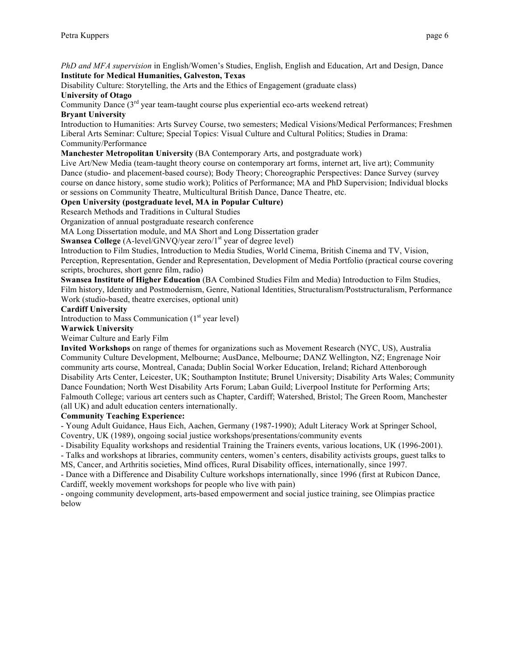*PhD and MFA supervision* in English/Women's Studies, English, English and Education, Art and Design, Dance **Institute for Medical Humanities, Galveston, Texas**

Disability Culture: Storytelling, the Arts and the Ethics of Engagement (graduate class) **University of Otago**

Community Dance  $(3<sup>rd</sup>$  year team-taught course plus experiential eco-arts weekend retreat) **Bryant University**

Introduction to Humanities: Arts Survey Course, two semesters; Medical Visions/Medical Performances; Freshmen Liberal Arts Seminar: Culture; Special Topics: Visual Culture and Cultural Politics; Studies in Drama: Community/Performance

#### **Manchester Metropolitan University** (BA Contemporary Arts, and postgraduate work)

Live Art/New Media (team-taught theory course on contemporary art forms, internet art, live art); Community Dance (studio- and placement-based course); Body Theory; Choreographic Perspectives: Dance Survey (survey course on dance history, some studio work); Politics of Performance; MA and PhD Supervision; Individual blocks or sessions on Community Theatre, Multicultural British Dance, Dance Theatre, etc.

#### **Open University (postgraduate level, MA in Popular Culture)**

Research Methods and Traditions in Cultural Studies

Organization of annual postgraduate research conference

MA Long Dissertation module, and MA Short and Long Dissertation grader

Swansea College (A-level/GNVQ/year zero/1<sup>st</sup> year of degree level)

Introduction to Film Studies, Introduction to Media Studies, World Cinema, British Cinema and TV, Vision, Perception, Representation, Gender and Representation, Development of Media Portfolio (practical course covering scripts, brochures, short genre film, radio)

**Swansea Institute of Higher Education** (BA Combined Studies Film and Media) Introduction to Film Studies, Film history, Identity and Postmodernism, Genre, National Identities, Structuralism/Poststructuralism, Performance Work (studio-based, theatre exercises, optional unit)

#### **Cardiff University**

Introduction to Mass Communication  $(1<sup>st</sup>$  year level)

#### **Warwick University**

Weimar Culture and Early Film

**Invited Workshops** on range of themes for organizations such as Movement Research (NYC, US), Australia Community Culture Development, Melbourne; AusDance, Melbourne; DANZ Wellington, NZ; Engrenage Noir community arts course, Montreal, Canada; Dublin Social Worker Education, Ireland; Richard Attenborough Disability Arts Center, Leicester, UK; Southampton Institute; Brunel University; Disability Arts Wales; Community Dance Foundation; North West Disability Arts Forum; Laban Guild; Liverpool Institute for Performing Arts; Falmouth College; various art centers such as Chapter, Cardiff; Watershed, Bristol; The Green Room, Manchester (all UK) and adult education centers internationally.

#### **Community Teaching Experience:**

- Young Adult Guidance, Haus Eich, Aachen, Germany (1987-1990); Adult Literacy Work at Springer School, Coventry, UK (1989), ongoing social justice workshops/presentations/community events

- Disability Equality workshops and residential Training the Trainers events, various locations, UK (1996-2001).

- Talks and workshops at libraries, community centers, women's centers, disability activists groups, guest talks to MS, Cancer, and Arthritis societies, Mind offices, Rural Disability offices, internationally, since 1997.

- Dance with a Difference and Disability Culture workshops internationally, since 1996 (first at Rubicon Dance, Cardiff, weekly movement workshops for people who live with pain)

- ongoing community development, arts-based empowerment and social justice training, see Olimpias practice below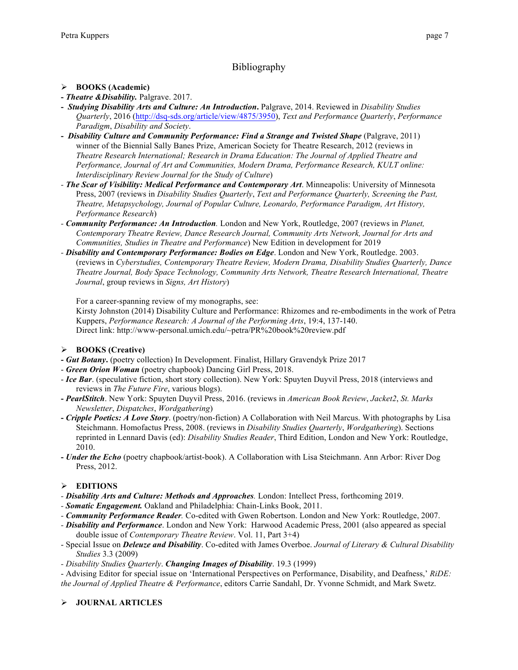# Bibliography

## Ø **BOOKS (Academic)**

- **-** *Theatre &Disability.* Palgrave. 2017.
- *Studying Disability Arts and Culture: An Introduction***.** Palgrave, 2014. Reviewed in *Disability Studies Quarterly*, 2016 (http://dsq-sds.org/article/view/4875/3950), *Text and Performance Quarterly*, *Performance Paradigm*, *Disability and Society*.
- *Disability Culture and Community Performance: Find a Strange and Twisted Shape* (Palgrave, 2011) winner of the Biennial Sally Banes Prize, American Society for Theatre Research, 2012 (reviews in *Theatre Research International; Research in Drama Education: The Journal of Applied Theatre and Performance, Journal of Art and Communities, Modern Drama, Performance Research, KULT online: Interdisciplinary Review Journal for the Study of Culture*)
- *- The Scar of Visibility: Medical Performance and Contemporary Art*. Minneapolis: University of Minnesota Press, 2007 (reviews in *Disability Studies Quarterly*, *Text and Performance Quarterly, Screening the Past, Theatre, Metapsychology, Journal of Popular Culture, Leonardo, Performance Paradigm, Art History, Performance Research*)
- *- Community Performance: An Introduction.* London and New York, Routledge, 2007 (reviews in *Planet, Contemporary Theatre Review, Dance Research Journal, Community Arts Network, Journal for Arts and Communities, Studies in Theatre and Performance*) New Edition in development for 2019
- *- Disability and Contemporary Performance: Bodies on Edge*. London and New York, Routledge. 2003. (reviews in *Cyberstudies, Contemporary Theatre Review, Modern Drama, Disability Studies Quarterly, Dance Theatre Journal, Body Space Technology, Community Arts Network, Theatre Research International, Theatre Journal*, group reviews in *Signs, Art History*)

For a career-spanning review of my monographs, see:

Kirsty Johnston (2014) Disability Culture and Performance: Rhizomes and re-embodiments in the work of Petra Kuppers, *Performance Research: A Journal of the Performing Arts*, 19:4, 137-140. Direct link: http://www-personal.umich.edu/~petra/PR%20book%20review.pdf

## Ø **BOOKS (Creative)**

- **-** *Gut Botany***.** (poetry collection) In Development. Finalist, Hillary Gravendyk Prize 2017
- *Green Orion Woman* (poetry chapbook) Dancing Girl Press, 2018.
- *Ice Bar*. (speculative fiction, short story collection). New York: Spuyten Duyvil Press, 2018 (interviews and reviews in *The Future Fire*, various blogs).
- **-** *PearlStitch*. New York: Spuyten Duyvil Press, 2016. (reviews in *American Book Review*, *Jacket2*, *St. Marks Newsletter*, *Dispatches*, *Wordgathering*)
- **-** *Cripple Poetics: A Love Story*. (poetry/non-fiction) A Collaboration with Neil Marcus. With photographs by Lisa Steichmann. Homofactus Press, 2008. (reviews in *Disability Studies Quarterly*, *Wordgathering*). Sections reprinted in Lennard Davis (ed): *Disability Studies Reader*, Third Edition, London and New York: Routledge, 2010.
- **-** *Under the Echo* (poetry chapbook/artist-book). A Collaboration with Lisa Steichmann. Ann Arbor: River Dog Press, 2012.

## Ø **EDITIONS**

- *- Disability Arts and Culture: Methods and Approaches.* London: Intellect Press, forthcoming 2019.
- *- Somatic Engagement.* Oakland and Philadelphia: Chain-Links Book, 2011.
- *- Community Performance Reader.* Co-edited with Gwen Robertson. London and New York: Routledge, 2007.
- *- Disability and Performance*. London and New York: Harwood Academic Press, 2001 (also appeared as special double issue of *Contemporary Theatre Review*. Vol. 11, Part 3+4)
- Special Issue on *Deleuze and Disability*. Co-edited with James Overboe. *Journal of Literary & Cultural Disability Studies* 3.3 (2009)
- *- Disability Studies Quarterly*. *Changing Images of Disability*. 19.3 (1999)

- Advising Editor for special issue on 'International Perspectives on Performance, Disability, and Deafness,' *RiDE: the Journal of Applied Theatre & Performance*, editors Carrie Sandahl, Dr. Yvonne Schmidt, and Mark Swetz.

## Ø **JOURNAL ARTICLES**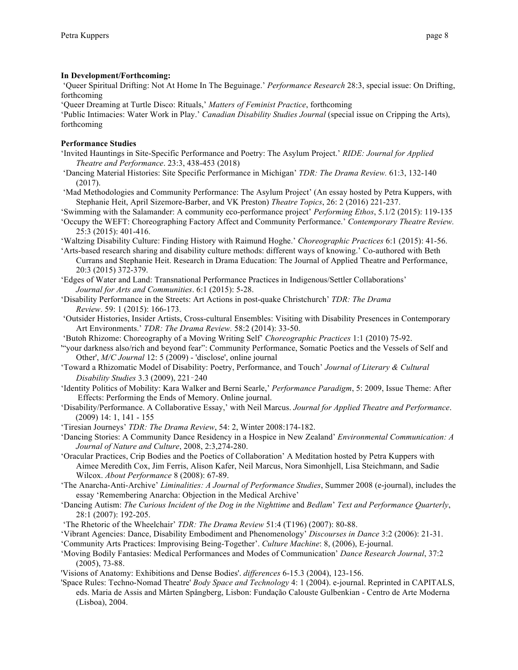#### **In Development/Forthcoming:**

'Queer Spiritual Drifting: Not At Home In The Beguinage.' *Performance Research* 28:3, special issue: On Drifting, forthcoming

'Queer Dreaming at Turtle Disco: Rituals,' *Matters of Feminist Practice*, forthcoming

'Public Intimacies: Water Work in Play.' *Canadian Disability Studies Journal* (special issue on Cripping the Arts), forthcoming

#### **Performance Studies**

- 'Invited Hauntings in Site-Specific Performance and Poetry: The Asylum Project.' *RIDE: Journal for Applied Theatre and Performance*. 23:3, 438-453 (2018)
- 'Dancing Material Histories: Site Specific Performance in Michigan' *TDR: The Drama Review.* 61:3, 132-140 (2017).
- 'Mad Methodologies and Community Performance: The Asylum Project' (An essay hosted by Petra Kuppers, with Stephanie Heit, April Sizemore-Barber, and VK Preston) *Theatre Topics*, 26: 2 (2016) 221-237.
- 'Swimming with the Salamander: A community eco-performance project' *Performing Ethos*, 5.1/2 (2015): 119-135
- 'Occupy the WEFT: Choreographing Factory Affect and Community Performance.' *Contemporary Theatre Review.* 25:3 (2015): 401-416.
- 'Waltzing Disability Culture: Finding History with Raimund Hoghe.' *Choreographic Practices* 6:1 (2015): 41-56.
- 'Arts-based research sharing and disability culture methods: different ways of knowing.' Co-authored with Beth Currans and Stephanie Heit. Research in Drama Education: The Journal of Applied Theatre and Performance, 20:3 (2015) 372-379.
- 'Edges of Water and Land: Transnational Performance Practices in Indigenous/Settler Collaborations' *Journal for Arts and Communities*. 6:1 (2015): 5-28.
- 'Disability Performance in the Streets: Art Actions in post-quake Christchurch' *TDR: The Drama Review*. 59: 1 (2015): 166-173.
- 'Outsider Histories, Insider Artists, Cross-cultural Ensembles: Visiting with Disability Presences in Contemporary Art Environments.' *TDR: The Drama Review.* 58:2 (2014): 33-50.
- 'Butoh Rhizome: Choreography of a Moving Writing Self' *Choreographic Practices* 1:1 (2010) 75-92.
- '"your darkness also/rich and beyond fear": Community Performance, Somatic Poetics and the Vessels of Self and Other', *M/C Journal* 12: 5 (2009) - 'disclose', online journal
- 'Toward a Rhizomatic Model of Disability: Poetry, Performance, and Touch' *Journal of Literary & Cultural Disability Studies* 3.3 (2009), 221–240
- 'Identity Politics of Mobility: Kara Walker and Berni Searle,' *Performance Paradigm*, 5: 2009, Issue Theme: After Effects: Performing the Ends of Memory. Online journal.
- 'Disability/Performance. A Collaborative Essay,' with Neil Marcus. *Journal for Applied Theatre and Performance*. (2009) 14: 1, 141 - 155
- 'Tiresian Journeys' *TDR: The Drama Review*, 54: 2, Winter 2008:174-182.
- 'Dancing Stories: A Community Dance Residency in a Hospice in New Zealand' *Environmental Communication: A Journal of Nature and Culture*, 2008, 2:3,274-280.
- 'Oracular Practices, Crip Bodies and the Poetics of Collaboration' A Meditation hosted by Petra Kuppers with Aimee Meredith Cox, Jim Ferris, Alison Kafer, Neil Marcus, Nora Simonhjell, Lisa Steichmann, and Sadie Wilcox. *About Performance* 8 (2008): 67-89.
- 'The Anarcha-Anti-Archive' *Liminalities: A Journal of Performance Studies*, Summer 2008 (e-journal), includes the essay 'Remembering Anarcha: Objection in the Medical Archive'
- 'Dancing Autism: *The Curious Incident of the Dog in the Nighttime* and *Bedlam*' *Text and Performance Quarterly*, 28:1 (2007): 192-205.
- 'The Rhetoric of the Wheelchair' *TDR: The Drama Review* 51:4 (T196) (2007): 80-88.
- 'Vibrant Agencies: Dance, Disability Embodiment and Phenomenology' *Discourses in Dance* 3:2 (2006): 21-31.
- 'Community Arts Practices: Improvising Being-Together'. *Culture Machine*: 8, (2006), E-journal.
- 'Moving Bodily Fantasies: Medical Performances and Modes of Communication' *Dance Research Journal*, 37:2 (2005), 73-88.
- 'Visions of Anatomy: Exhibitions and Dense Bodies'. *differences* 6-15.3 (2004), 123-156.
- 'Space Rules: Techno-Nomad Theatre' *Body Space and Technology* 4: 1 (2004). e-journal. Reprinted in CAPITALS, eds. Maria de Assis and Mårten Spångberg, Lisbon: Fundação Calouste Gulbenkian - Centro de Arte Moderna (Lisboa), 2004.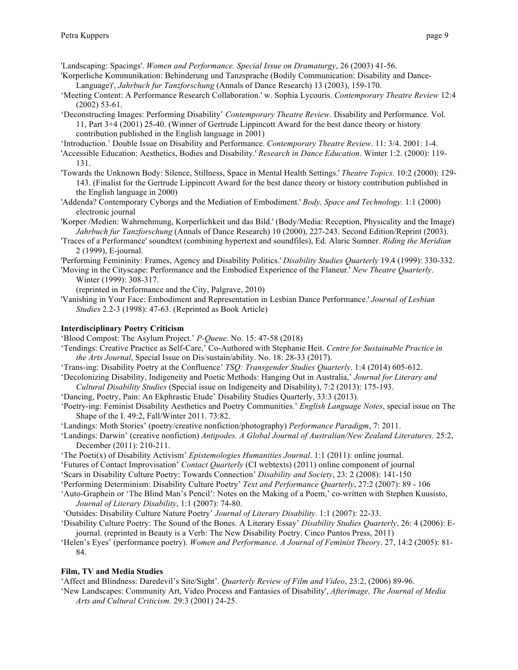'Landscaping: Spacings'. *Women and Performance. Special Issue on Dramaturgy*, 26 (2003) 41-56.

- 'Korperliche Kommunikation: Behinderung und Tanzsprache (Bodily Communication: Disability and Dance-Language)', *Jahrbuch fur Tanzforschung* (Annals of Dance Research) 13 (2003), 159-170.
- 'Meeting Content: A Performance Research Collaboration.' w. Sophia Lycouris. *Contemporary Theatre Review* 12:4 (2002) 53-61.
- 'Deconstructing Images: Performing Disability' *Contemporary Theatre Review*. Disability and Performance. Vol. 11, Part 3+4 (2001) 25-40. (Winner of Gertrude Lippincott Award for the best dance theory or history contribution published in the English language in 2001)

'Introduction.' Double Issue on Disability and Performance. *Contemporary Theatre Review*. 11: 3/4. 2001: 1-4.

- 'Accessible Education: Aesthetics, Bodies and Disability.' *Research in Dance Education*. Winter 1:2. (2000): 119- 131.
- 'Towards the Unknown Body: Silence, Stillness, Space in Mental Health Settings.' *Theatre Topics*. 10:2 (2000): 129- 143. (Finalist for the Gertrude Lippincott Award for the best dance theory or history contribution published in the English language in 2000)
- 'Addenda? Contemporary Cyborgs and the Mediation of Embodiment.' *Body, Space and Technology.* 1:1 (2000) electronic journal
- 'Korper /Medien: Wahrnehmung, Korperlichkeit und das Bild.' (Body/Media: Reception, Physicality and the Image) *Jahrbuch fur Tanzforschung* (Annals of Dance Research) 10 (2000), 227-243. Second Edition/Reprint (2003).
- 'Traces of a Performance' soundtext (combining hypertext and soundfiles), Ed. Alaric Sumner. *Riding the Meridian* 2 (1999), E-journal.
- 'Performing Femininity: Frames, Agency and Disability Politics.' *Disability Studies Quarterly* 19.4 (1999): 330-332.
- 'Moving in the Cityscape: Performance and the Embodied Experience of the Flaneur.' *New Theatre Quarterly*. Winter (1999): 308-317.

(reprinted in Performance and the City, Palgrave, 2010)

'Vanishing in Your Face: Embodiment and Representation in Lesbian Dance Performance.' *Journal of Lesbian Studies* 2.2-3 (1998): 47-63. (Reprinted as Book Article)

## **Interdisciplinary Poetry Criticism**

'Blood Compost: The Asylum Project.' *P-Queue*. No. 15: 47-58 (2018)

- 'Tendings: Creative Practice as Self-Care,' Co-Authored with Stephanie Heit. *Centre for Sustainable Practice in the Arts Journal*, Special Issue on Dis/sustain/ability. No. 18: 28-33 (2017).
- 'Trans-ing: Disability Poetry at the Confluence' *TSQ: Transgender Studies Quarterly*. 1:4 (2014) 605-612.
- 'Decolonizing Disability, Indigeneity and Poetic Methods: Hanging Out in Australia,' *Journal for Literary and Cultural Disability Studies* (Special issue on Indigeneity and Disability), 7:2 (2013): 175-193.
- 'Dancing, Poetry, Pain: An Ekphrastic Etude' Disability Studies Quarterly, 33:3 (2013).
- 'Poetry-ing: Feminist Disability Aesthetics and Poetry Communities.' *English Language Notes*, special issue on The Shape of the I. 49:2, Fall/Winter 2011. 73:82.
- 'Landings: Moth Stories' (poetry/creative nonfiction/photography) *Performance Paradigm*, 7: 2011.
- 'Landings: Darwin' (creative nonfiction) *Antipodes. A Global Journal of Australian/New Zealand Literatures.* 25:2, December (2011): 210-211.
- 'The Poeti(x) of Disability Activism' *Epistemologies Humanities Journal*. 1:1 (2011): online journal.
- 'Futures of Contact Improvisation' *Contact Quarterly* (CI webtexts) (2011) online component of journal
- 'Scars in Disability Culture Poetry: Towards Connection' *Disability and Society*, 23: 2 (2008): 141-150
- 'Performing Determinism: Disability Culture Poetry' *Text and Performance Quarterly*, 27:2 (2007): 89 106
- 'Auto-Graphein or 'The Blind Man's Pencil': Notes on the Making of a Poem,' co-written with Stephen Kuusisto, *Journal of Literary Disability*, 1:1 (2007): 74-80.
- 'Outsides: Disability Culture Nature Poetry' *Journal of Literary Disability*. 1:1 (2007): 22-33.
- 'Disability Culture Poetry: The Sound of the Bones. A Literary Essay' *Disability Studies Quarterly*, 26: 4 (2006): Ejournal. (reprinted in Beauty is a Verb: The New Disability Poetry. Cinco Puntos Press, 2011)
- 'Helen's Eyes' (performance poetry). *Women and Performance. A Journal of Feminist Theory*. 27, 14:2 (2005): 81- 84.

#### **Film, TV and Media Studies**

'Affect and Blindness: Daredevil's Site/Sight'. *Quarterly Review of Film and Video*, 23:2, (2006) 89-96.

'New Landscapes: Community Art, Video Process and Fantasies of Disability', *Afterimage, The Journal of Media Arts and Cultural Criticism.* 29:3 (2001) 24-25.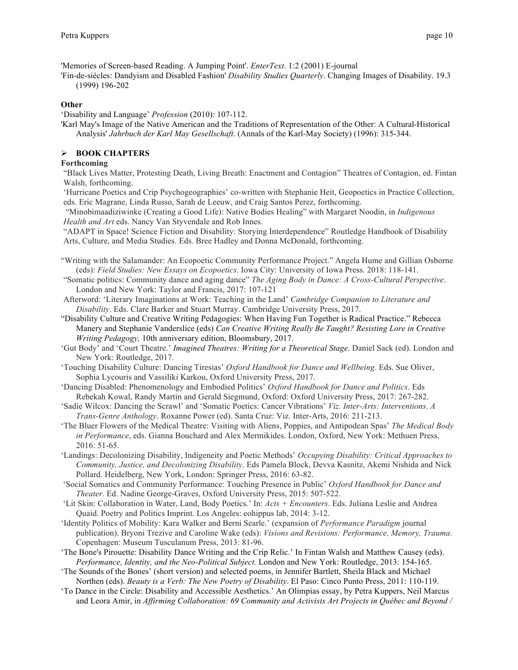'Memories of Screen-based Reading. A Jumping Point'. *EnterText*. 1:2 (2001) E-journal

'Fin-de-siécles: Dandyism and Disabled Fashion' *Disability Studies Quarterly*. Changing Images of Disability. 19.3 (1999) 196-202

#### **Other**

'Disability and Language' *Profession* (2010): 107-112.

'Karl May's Image of the Native American and the Traditions of Representation of the Other: A Cultural-Historical Analysis' *Jahrbuch der Karl May Gesellschaft*. (Annals of the Karl-May Society) (1996): 315-344.

## Ø **BOOK CHAPTERS**

## **Forthcoming**

"Black Lives Matter, Protesting Death, Living Breath: Enactment and Contagion" Theatres of Contagion, ed. Fintan Walsh, forthcoming.

'Hurricane Poetics and Crip Psychogeographies' co-written with Stephanie Heit, Geopoetics in Practice Collection, eds. Eric Magrane, Linda Russo, Sarah de Leeuw, and Craig Santos Perez, forthcoming.

"Minobimaadiziwinke (Creating a Good Life): Native Bodies Healing" with Margaret Noodin, in *Indigenous Health and Art* eds. Nancy Van Styvendale and Rob Innes.

"ADAPT in Space! Science Fiction and Disability: Storying Interdependence" Routledge Handbook of Disability Arts, Culture, and Media Studies. Eds. Bree Hadley and Donna McDonald, forthcoming.

- "Writing with the Salamander: An Ecopoetic Community Performance Project." Angela Hume and Gillian Osborne (eds): *Field Studies: New Essays on Ecopoetics*. Iowa City: University of Iowa Press. 2018: 118-141.
- "Somatic politics: Community dance and aging dance" *The Aging Body in Dance: A Cross-Cultural Perspective*. London and New York: Taylor and Francis, 2017: 107-121
- Afterword: 'Literary Imaginations at Work: Teaching in the Land' *Cambridge Companion to Literature and Disability*. Eds. Clare Barker and Stuart Murray. Cambridge University Press, 2017.
- "Disability Culture and Creative Writing Pedagogies: When Having Fun Together is Radical Practice." Rebecca Manery and Stephanie Vanderslice (eds) *Can Creative Writing Really Be Taught? Resisting Lore in Creative Writing Pedagogy,* 10th anniversary edition, Bloomsbury, 2017.
- 'Gut Body' and 'Court Theatre.' *Imagined Theatres: Writing for a Theoretical Stage*. Daniel Sack (ed). London and New York: Routledge, 2017.
- 'Touching Disability Culture: Dancing Tiresias' *Oxford Handbook for Dance and Wellbeing*. Eds. Sue Oliver, Sophia Lycouris and Vassiliki Karkou, Oxford University Press, 2017.
- 'Dancing Disabled: Phenomenology and Embodied Politics' *Oxford Handbook for Dance and Politics*. Eds Rebekah Kowal, Randy Martin and Gerald Siegmund, Oxford: Oxford University Press, 2017: 267-282.
- 'Sadie Wilcox: Dancing the Scrawl' and 'Somatic Poetics: Cancer Vibrations' *Viz. Inter-Arts: Interventions*. *A Trans-Genre Anthology*. Roxanne Power (ed). Santa Cruz: Viz. Inter-Arts, 2016: 211-213.
- 'The Bluer Flowers of the Medical Theatre: Visiting with Aliens, Poppies, and Antipodean Spas' *The Medical Body in Performance*, eds. Gianna Bouchard and Alex Mermikides. London, Oxford, New York: Methuen Press, 2016: 51-65.
- 'Landings: Decolonizing Disability, Indigeneity and Poetic Methods' *Occupying Disability: Critical Approaches to Community, Justice, and Decolonizing Disability*. Eds Pamela Block, Devva Kasnitz, Akemi Nishida and Nick Pollard. Heidelberg, New York, London: Springer Press, 2016: 63-82.
- 'Social Somatics and Community Performance: Touching Presence in Public' *Oxford Handbook for Dance and Theater.* Ed. Nadine George-Graves, Oxford University Press, 2015: 507-522.
- 'Lit Skin: Collaboration in Water, Land, Body Poetics.' In: *Acts + Encounters*. Eds. Juliana Leslie and Andrea Quaid. Poetry and Politics Imprint. Los Angeles: eohippus lab, 2014: 3-12.
- 'Identity Politics of Mobility: Kara Walker and Berni Searle.' (expansion of *Performance Paradigm* journal publication). Bryoni Trezive and Caroline Wake (eds): *Visions and Revisions: Performance, Memory, Trauma*. Copenhagen: Museum Tusculanum Press, 2013: 81-96.
- 'The Bone's Pirouette: Disability Dance Writing and the Crip Relic.' In Fintan Walsh and Matthew Causey (eds). *Performance, Identity, and the Neo-Political Subject.* London and New York: Routledge, 2013: 154-165.
- 'The Sounds of the Bones' (short version) and selected poems, in Jennifer Bartlett, Sheila Black and Michael Northen (eds). *Beauty is a Verb: The New Poetry of Disability*. El Paso: Cinco Punto Press, 2011: 110-119.
- 'To Dance in the Circle: Disability and Accessible Aesthetics.' An Olimpias essay, by Petra Kuppers, Neil Marcus and Leora Amir, in *Affirming Collaboration: 69 Community and Activists Art Projects in Québec and Beyond /*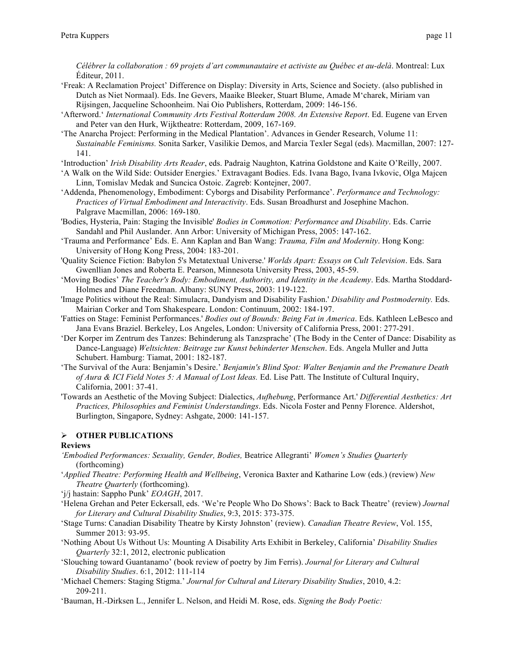*Célébrer la collaboration : 69 projets d'art communautaire et activiste au Québec et au-delà*. Montreal: Lux Éditeur, 2011.

- 'Freak: A Reclamation Project' Difference on Display: Diversity in Arts, Science and Society. (also published in Dutch as Niet Normaal). Eds. Ine Gevers, Maaike Bleeker, Stuart Blume, Amade M'charek, Miriam van Rijsingen, Jacqueline Schoonheim. Nai Oio Publishers, Rotterdam, 2009: 146-156.
- 'Afterword.' *International Community Arts Festival Rotterdam 2008. An Extensive Report*. Ed. Eugene van Erven and Peter van den Hurk, Wijktheatre: Rotterdam, 2009, 167-169.
- 'The Anarcha Project: Performing in the Medical Plantation'. Advances in Gender Research, Volume 11: *Sustainable Feminisms.* Sonita Sarker, Vasilikie Demos, and Marcia Texler Segal (eds). Macmillan, 2007: 127- 141.
- 'Introduction' *Irish Disability Arts Reader*, eds. Padraig Naughton, Katrina Goldstone and Kaite O'Reilly, 2007.
- 'A Walk on the Wild Side: Outsider Energies.' Extravagant Bodies. Eds. Ivana Bago, Ivana Ivkovic, Olga Majcen Linn, Tomislav Medak and Suncica Ostoic. Zagreb: Kontejner, 2007.
- 'Addenda, Phenomenology, Embodiment: Cyborgs and Disability Performance'. *Performance and Technology: Practices of Virtual Embodiment and Interactivity*. Eds. Susan Broadhurst and Josephine Machon. Palgrave Macmillan, 2006: 169-180.
- 'Bodies, Hysteria, Pain: Staging the Invisible' *Bodies in Commotion: Performance and Disability*. Eds. Carrie Sandahl and Phil Auslander. Ann Arbor: University of Michigan Press, 2005: 147-162.
- 'Trauma and Performance' Eds. E. Ann Kaplan and Ban Wang: *Trauma, Film and Modernity*. Hong Kong: University of Hong Kong Press, 2004: 183-201.
- 'Quality Science Fiction: Babylon 5's Metatextual Universe.' *Worlds Apart: Essays on Cult Television*. Eds. Sara Gwenllian Jones and Roberta E. Pearson, Minnesota University Press, 2003, 45-59.
- 'Moving Bodies' *The Teacher's Body: Embodiment, Authority, and Identity in the Academy*. Eds. Martha Stoddard-Holmes and Diane Freedman. Albany: SUNY Press, 2003: 119-122.
- 'Image Politics without the Real: Simulacra, Dandyism and Disability Fashion.' *Disability and Postmodernity.* Eds. Mairian Corker and Tom Shakespeare. London: Continuum, 2002: 184-197.
- 'Fatties on Stage: Feminist Performances.' *Bodies out of Bounds: Being Fat in America*. Eds. Kathleen LeBesco and Jana Evans Braziel. Berkeley, Los Angeles, London: University of California Press, 2001: 277-291.
- 'Der Korper im Zentrum des Tanzes: Behinderung als Tanzsprache' (The Body in the Center of Dance: Disability as Dance-Language) *Weltsichten: Beitrage zur Kunst behinderter Menschen*. Eds. Angela Muller and Jutta Schubert. Hamburg: Tiamat, 2001: 182-187.
- 'The Survival of the Aura: Benjamin's Desire.' *Benjamin's Blind Spot: Walter Benjamin and the Premature Death of Aura & ICI Field Notes 5: A Manual of Lost Ideas.* Ed. Lise Patt. The Institute of Cultural Inquiry, California, 2001: 37-41.
- 'Towards an Aesthetic of the Moving Subject: Dialectics, *Aufhebung*, Performance Art.' *Differential Aesthetics: Art Practices, Philosophies and Feminist Understandings*. Eds. Nicola Foster and Penny Florence. Aldershot, Burlington, Singapore, Sydney: Ashgate, 2000: 141-157.

## Ø **OTHER PUBLICATIONS**

#### **Reviews**

- *'Embodied Performances: Sexuality, Gender, Bodies,* Beatrice Allegranti' *Women's Studies Quarterly* (forthcoming)
- '*Applied Theatre: Performing Health and Wellbeing*, Veronica Baxter and Katharine Low (eds.) (review) *New Theatre Quarterly* (forthcoming).
- 'j/j hastain: Sappho Punk' *EOAGH*, 2017.
- 'Helena Grehan and Peter Eckersall, eds. 'We're People Who Do Shows': Back to Back Theatre' (review) *Journal for Literary and Cultural Disability Studies*, 9:3, 2015: 373-375.
- 'Stage Turns: Canadian Disability Theatre by Kirsty Johnston' (review). *Canadian Theatre Review*, Vol. 155, Summer 2013: 93-95.
- 'Nothing About Us Without Us: Mounting A Disability Arts Exhibit in Berkeley, California' *Disability Studies Quarterly* 32:1, 2012, electronic publication
- 'Slouching toward Guantanamo' (book review of poetry by Jim Ferris). *Journal for Literary and Cultural Disability Studies*. 6:1, 2012: 111-114
- 'Michael Chemers: Staging Stigma.' *Journal for Cultural and Literary Disability Studies*, 2010, 4.2: 209-211.
- 'Bauman, H.-Dirksen L., Jennifer L. Nelson, and Heidi M. Rose, eds. *Signing the Body Poetic:*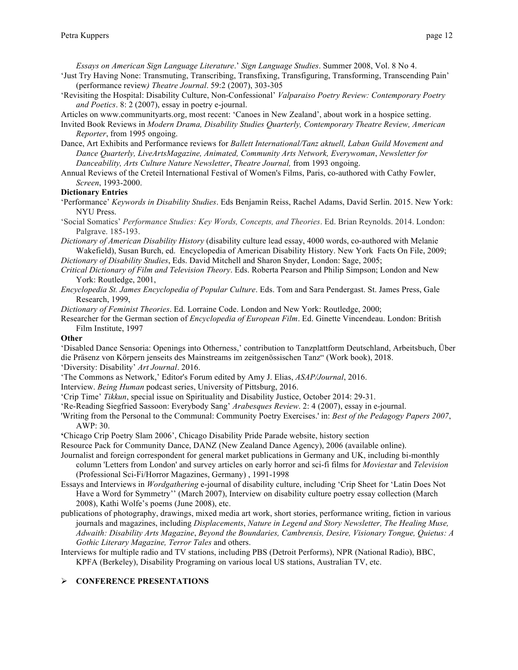*Essays on American Sign Language Literature*.' *Sign Language Studies*. Summer 2008, Vol. 8 No 4.

- 'Just Try Having None: Transmuting, Transcribing, Transfixing, Transfiguring, Transforming, Transcending Pain' (performance review*) Theatre Journal*. 59:2 (2007), 303-305
- 'Revisiting the Hospital: Disability Culture, Non-Confessional' *Valparaiso Poetry Review: Contemporary Poetry and Poetics*. 8: 2 (2007), essay in poetry e-journal.

Articles on www.communityarts.org, most recent: 'Canoes in New Zealand', about work in a hospice setting.

- Invited Book Reviews in *Modern Drama, Disability Studies Quarterly, Contemporary Theatre Review, American Reporter*, from 1995 ongoing.
- Dance, Art Exhibits and Performance reviews for *Ballett International/Tanz aktuell, Laban Guild Movement and Dance Quarterly, LiveArtsMagazine, Animated, Community Arts Network, Everywoman*, *Newsletter for Danceability, Arts Culture Nature Newsletter*, *Theatre Journal,* from 1993 ongoing.
- Annual Reviews of the Creteil International Festival of Women's Films, Paris, co-authored with Cathy Fowler, *Screen*, 1993-2000.

#### **Dictionary Entries**

- 'Performance' *Keywords in Disability Studies*. Eds Benjamin Reiss, Rachel Adams, David Serlin. 2015. New York: NYU Press.
- 'Social Somatics' *Performance Studies: Key Words, Concepts, and Theories*. Ed. Brian Reynolds. 2014. London: Palgrave. 185-193.
- *Dictionary of American Disability History* (disability culture lead essay, 4000 words, co-authored with Melanie Wakefield), Susan Burch, ed. Encyclopedia of American Disability History. New York Facts On File, 2009;

*Dictionary of Disability Studies*, Eds. David Mitchell and Sharon Snyder, London: Sage, 2005;

- *Critical Dictionary of Film and Television Theory*. Eds. Roberta Pearson and Philip Simpson; London and New York: Routledge, 2001,
- *Encyclopedia St. James Encyclopedia of Popular Culture*. Eds. Tom and Sara Pendergast. St. James Press, Gale Research, 1999,

*Dictionary of Feminist Theories*. Ed. Lorraine Code. London and New York: Routledge, 2000;

Researcher for the German section of *Encyclopedia of European Film*. Ed. Ginette Vincendeau. London: British Film Institute, 1997

#### **Other**

'Disabled Dance Sensoria: Openings into Otherness,' contribution to Tanzplattform Deutschland, Arbeitsbuch, Über die Präsenz von Körpern jenseits des Mainstreams im zeitgenössischen Tanz" (Work book), 2018.

'Diversity: Disability' *Art Journal*. 2016.

'The Commons as Network,' Editor's Forum edited by Amy J. Elias, *ASAP/Journal*, 2016.

Interview. *Being Human* podcast series, University of Pittsburg, 2016.

'Crip Time' *Tikkun*, special issue on Spirituality and Disability Justice, October 2014: 29-31.

'Re-Reading Siegfried Sassoon: Everybody Sang' *Arabesques Review*. 2: 4 (2007), essay in e-journal.

- 'Writing from the Personal to the Communal: Community Poetry Exercises.' in: *Best of the Pedagogy Papers 2007*, AWP: 30.
- **'**Chicago Crip Poetry Slam 2006', Chicago Disability Pride Parade website, history section
- Resource Pack for Community Dance, DANZ (New Zealand Dance Agency), 2006 (available online).
- Journalist and foreign correspondent for general market publications in Germany and UK, including bi-monthly column 'Letters from London' and survey articles on early horror and sci-fi films for *Moviestar* and *Television* (Professional Sci-Fi/Horror Magazines, Germany) , 1991-1998
- Essays and Interviews in *Wordgathering* e-journal of disability culture, including 'Crip Sheet for 'Latin Does Not Have a Word for Symmetry'' (March 2007), Interview on disability culture poetry essay collection (March 2008), Kathi Wolfe's poems (June 2008), etc.
- publications of photography, drawings, mixed media art work, short stories, performance writing, fiction in various journals and magazines, including *Displacements*, *Nature in Legend and Story Newsletter, The Healing Muse, Adwaith: Disability Arts Magazine*, *Beyond the Boundaries, Cambrensis, Desire, Visionary Tongue, Quietus: A Gothic Literary Magazine, Terror Tales* and others.
- Interviews for multiple radio and TV stations, including PBS (Detroit Performs), NPR (National Radio), BBC, KPFA (Berkeley), Disability Programing on various local US stations, Australian TV, etc.

## Ø **CONFERENCE PRESENTATIONS**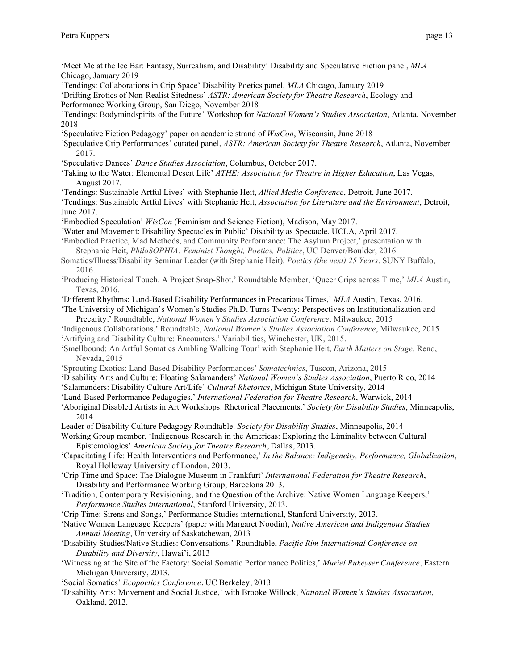- 'Meet Me at the Ice Bar: Fantasy, Surrealism, and Disability' Disability and Speculative Fiction panel, *MLA* Chicago, January 2019
- 'Tendings: Collaborations in Crip Space' Disability Poetics panel, *MLA* Chicago, January 2019

'Drifting Erotics of Non-Realist Sitedness' *ASTR: American Society for Theatre Research*, Ecology and Performance Working Group, San Diego, November 2018

'Tendings: Bodymindspirits of the Future' Workshop for *National Women's Studies Association*, Atlanta, November 2018

'Speculative Fiction Pedagogy' paper on academic strand of *WisCon*, Wisconsin, June 2018

- 'Speculative Crip Performances' curated panel, *ASTR: American Society for Theatre Research*, Atlanta, November 2017.
- 'Speculative Dances' *Dance Studies Association*, Columbus, October 2017.
- 'Taking to the Water: Elemental Desert Life' *ATHE: Association for Theatre in Higher Education*, Las Vegas, August 2017.
- 'Tendings: Sustainable Artful Lives' with Stephanie Heit, *Allied Media Conference*, Detroit, June 2017.
- 'Tendings: Sustainable Artful Lives' with Stephanie Heit, *Association for Literature and the Environment*, Detroit, June 2017.
- 'Embodied Speculation' *WisCon* (Feminism and Science Fiction), Madison, May 2017.
- 'Water and Movement: Disability Spectacles in Public' Disability as Spectacle. UCLA, April 2017.
- 'Embodied Practice, Mad Methods, and Community Performance: The Asylum Project,' presentation with Stephanie Heit, *PhiloSOPHIA: Feminist Thought, Poetics, Politics*, UC Denver/Boulder, 2016.
- Somatics/Illness/Disability Seminar Leader (with Stephanie Heit), *Poetics (the next) 25 Years*. SUNY Buffalo, 2016.
- 'Producing Historical Touch. A Project Snap-Shot.' Roundtable Member, 'Queer Crips across Time,' *MLA* Austin, Texas, 2016.
- 'Different Rhythms: Land-Based Disability Performances in Precarious Times,' *MLA* Austin, Texas, 2016.
- 'The University of Michigan's Women's Studies Ph.D. Turns Twenty: Perspectives on Institutionalization and Precarity.' Roundtable, *National Women's Studies Association Conference*, Milwaukee, 2015
- 'Indigenous Collaborations.' Roundtable, *National Women's Studies Association Conference*, Milwaukee, 2015
- 'Artifying and Disability Culture: Encounters.' Variabilities, Winchester, UK, 2015.
- 'Smellbound: An Artful Somatics Ambling Walking Tour' with Stephanie Heit, *Earth Matters on Stage*, Reno, Nevada, 2015
- 'Sprouting Exotics: Land-Based Disability Performances' *Somatechnics*, Tuscon, Arizona, 2015
- 'Disability Arts and Culture: Floating Salamanders' *National Women's Studies Association*, Puerto Rico, 2014
- 'Salamanders: Disability Culture Art/Life' *Cultural Rhetorics*, Michigan State University, 2014
- 'Land-Based Performance Pedagogies,' *International Federation for Theatre Research*, Warwick, 2014
- 'Aboriginal Disabled Artists in Art Workshops: Rhetorical Placements,' *Society for Disability Studies*, Minneapolis, 2014
- Leader of Disability Culture Pedagogy Roundtable. *Society for Disability Studies*, Minneapolis, 2014
- Working Group member, 'Indigenous Research in the Americas: Exploring the Liminality between Cultural Epistemologies' *American Society for Theatre Research*, Dallas, 2013.
- 'Capacitating Life: Health Interventions and Performance,' *In the Balance: Indigeneity, Performance, Globalization*, Royal Holloway University of London, 2013.
- 'Crip Time and Space: The Dialogue Museum in Frankfurt' *International Federation for Theatre Research*, Disability and Performance Working Group, Barcelona 2013.
- 'Tradition, Contemporary Revisioning, and the Question of the Archive: Native Women Language Keepers,' *Performance Studies international*, Stanford University, 2013.
- 'Crip Time: Sirens and Songs,' Performance Studies international, Stanford University, 2013.
- 'Native Women Language Keepers' (paper with Margaret Noodin), *Native American and Indigenous Studies Annual Meeting*, University of Saskatchewan, 2013
- 'Disability Studies/Native Studies: Conversations.' Roundtable, *Pacific Rim International Conference on Disability and Diversity*, Hawai'i, 2013
- 'Witnessing at the Site of the Factory: Social Somatic Performance Politics,' *Muriel Rukeyser Conference*, Eastern Michigan University, 2013.
- 'Social Somatics' *Ecopoetics Conference*, UC Berkeley, 2013
- 'Disability Arts: Movement and Social Justice,' with Brooke Willock, *National Women's Studies Association*, Oakland, 2012.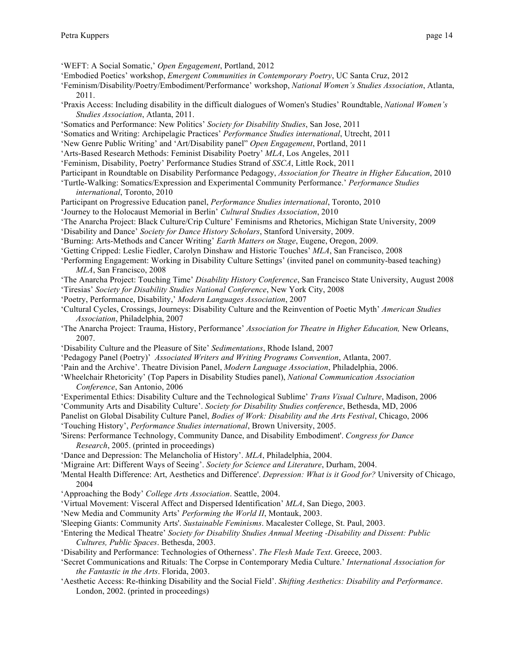'WEFT: A Social Somatic,' *Open Engagement*, Portland, 2012

- 'Embodied Poetics' workshop, *Emergent Communities in Contemporary Poetry*, UC Santa Cruz, 2012
- 'Feminism/Disability/Poetry/Embodiment/Performance' workshop, *National Women's Studies Association*, Atlanta, 2011.
- 'Praxis Access: Including disability in the difficult dialogues of Women's Studies' Roundtable, *National Women's Studies Association*, Atlanta, 2011.
- 'Somatics and Performance: New Politics' *Society for Disability Studies*, San Jose, 2011
- 'Somatics and Writing: Archipelagic Practices' *Performance Studies international*, Utrecht, 2011
- 'New Genre Public Writing' and 'Art/Disability panel" *Open Engagement*, Portland, 2011
- 'Arts-Based Research Methods: Feminist Disability Poetry' *MLA*, Los Angeles, 2011
- 'Feminism, Disability, Poetry' Performance Studies Strand of *SSCA*, Little Rock, 2011
- Participant in Roundtable on Disability Performance Pedagogy, *Association for Theatre in Higher Education*, 2010
- 'Turtle-Walking: Somatics/Expression and Experimental Community Performance.' *Performance Studies international*, Toronto, 2010
- Participant on Progressive Education panel, *Performance Studies international*, Toronto, 2010
- 'Journey to the Holocaust Memorial in Berlin' *Cultural Studies Association*, 2010
- 'The Anarcha Project: Black Culture/Crip Culture' Feminisms and Rhetorics, Michigan State University, 2009
- 'Disability and Dance' *Society for Dance History Scholars*, Stanford University, 2009.
- 'Burning: Arts-Methods and Cancer Writing' *Earth Matters on Stage*, Eugene, Oregon, 2009.
- 'Getting Cripped: Leslie Fiedler, Carolyn Dinshaw and Historic Touches' *MLA*, San Francisco, 2008
- 'Performing Engagement: Working in Disability Culture Settings' (invited panel on community-based teaching) *MLA*, San Francisco, 2008
- 'The Anarcha Project: Touching Time' *Disability History Conference*, San Francisco State University, August 2008 'Tiresias' *Society for Disability Studies National Conference*, New York City, 2008
- 
- 'Poetry, Performance, Disability,' *Modern Languages Association*, 2007
- 'Cultural Cycles, Crossings, Journeys: Disability Culture and the Reinvention of Poetic Myth' *American Studies Association*, Philadelphia, 2007
- 'The Anarcha Project: Trauma, History, Performance' *Association for Theatre in Higher Education,* New Orleans, 2007.
- 'Disability Culture and the Pleasure of Site' *Sedimentations*, Rhode Island, 2007
- 'Pedagogy Panel (Poetry)' *Associated Writers and Writing Programs Convention*, Atlanta, 2007.
- 'Pain and the Archive'. Theatre Division Panel, *Modern Language Association*, Philadelphia, 2006.
- 'Wheelchair Rhetoricity' (Top Papers in Disability Studies panel), *National Communication Association Conference*, San Antonio, 2006
- 'Experimental Ethics: Disability Culture and the Technological Sublime' *Trans Visual Culture*, Madison, 2006

'Community Arts and Disability Culture'. *Society for Disability Studies conference*, Bethesda, MD, 2006

Panelist on Global Disability Culture Panel, *Bodies of Work: Disability and the Arts Festival*, Chicago, 2006

'Touching History', *Performance Studies international*, Brown University, 2005.

'Sirens: Performance Technology, Community Dance, and Disability Embodiment'. *Congress for Dance Research*, 2005. (printed in proceedings)

'Dance and Depression: The Melancholia of History'. *MLA*, Philadelphia, 2004.

- 'Migraine Art: Different Ways of Seeing'. *Society for Science and Literature*, Durham, 2004.
- 'Mental Health Difference: Art, Aesthetics and Difference'. *Depression: What is it Good for?* University of Chicago, 2004
- 'Approaching the Body' *College Arts Association*. Seattle, 2004.
- 'Virtual Movement: Visceral Affect and Dispersed Identification' *MLA*, San Diego, 2003.
- 'New Media and Community Arts' *Performing the World II*, Montauk, 2003.
- 'Sleeping Giants: Community Arts'. *Sustainable Feminisms*. Macalester College, St. Paul, 2003.
- 'Entering the Medical Theatre' *Society for Disability Studies Annual Meeting -Disability and Dissent: Public Cultures, Public Spaces*. Bethesda, 2003.
- 'Disability and Performance: Technologies of Otherness'. *The Flesh Made Text*. Greece, 2003.
- 'Secret Communications and Rituals: The Corpse in Contemporary Media Culture.' *International Association for the Fantastic in the Arts*. Florida, 2003.
- 'Aesthetic Access: Re-thinking Disability and the Social Field'. *Shifting Aesthetics: Disability and Performance*. London, 2002. (printed in proceedings)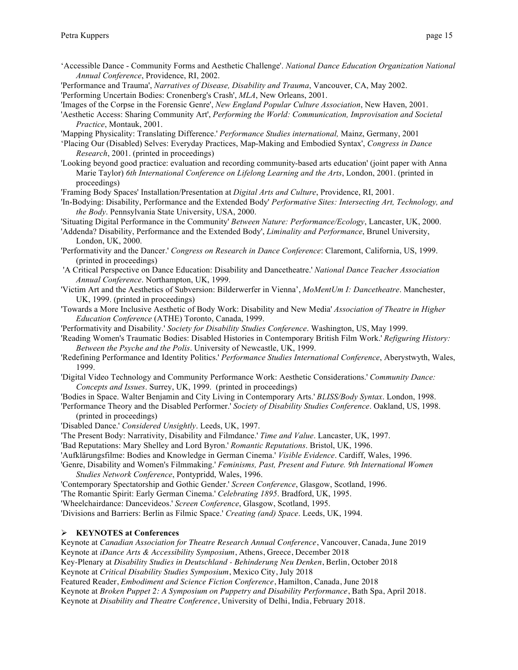- 'Accessible Dance Community Forms and Aesthetic Challenge'. *National Dance Education Organization National Annual Conference*, Providence, RI, 2002.
- 'Performance and Trauma', *Narratives of Disease, Disability and Trauma*, Vancouver, CA, May 2002.
- 'Performing Uncertain Bodies: Cronenberg's Crash', *MLA*, New Orleans, 2001.
- 'Images of the Corpse in the Forensic Genre', *New England Popular Culture Association*, New Haven, 2001.
- 'Aesthetic Access: Sharing Community Art', *Performing the World: Communication, Improvisation and Societal Practice*, Montauk, 2001.
- 'Mapping Physicality: Translating Difference.' *Performance Studies international,* Mainz, Germany, 2001
- 'Placing Our (Disabled) Selves: Everyday Practices, Map-Making and Embodied Syntax', *Congress in Dance Research*, 2001. (printed in proceedings)
- 'Looking beyond good practice: evaluation and recording community-based arts education' (joint paper with Anna Marie Taylor) *6th International Conference on Lifelong Learning and the Arts*, London, 2001. (printed in proceedings)
- 'Framing Body Spaces' Installation/Presentation at *Digital Arts and Culture*, Providence, RI, 2001.
- 'In-Bodying: Disability, Performance and the Extended Body' *Performative Sites: Intersecting Art, Technology, and the Body*. Pennsylvania State University, USA, 2000.
- 'Situating Digital Performance in the Community' *Between Nature: Performance/Ecology*, Lancaster, UK, 2000.
- 'Addenda? Disability, Performance and the Extended Body', *Liminality and Performance*, Brunel University, London, UK, 2000.
- 'Performativity and the Dancer.' *Congress on Research in Dance Conference*: Claremont, California, US, 1999. (printed in proceedings)
- 'A Critical Perspective on Dance Education: Disability and Dancetheatre.' *National Dance Teacher Association Annual Conference*. Northampton, UK, 1999.
- 'Victim Art and the Aesthetics of Subversion: Bilderwerfer in Vienna', *MoMentUm I: Dancetheatre*. Manchester, UK, 1999. (printed in proceedings)
- 'Towards a More Inclusive Aesthetic of Body Work: Disability and New Media' *Association of Theatre in Higher Education Conference* (ATHE) Toronto, Canada, 1999.
- 'Performativity and Disability.' *Society for Disability Studies Conference*. Washington, US, May 1999.
- 'Reading Women's Traumatic Bodies: Disabled Histories in Contemporary British Film Work.' *Refiguring History: Between the Psyche and the Polis*. University of Newcastle, UK, 1999.
- 'Redefining Performance and Identity Politics.' *Performance Studies International Conference*, Aberystwyth, Wales, 1999.
- 'Digital Video Technology and Community Performance Work: Aesthetic Considerations.' *Community Dance: Concepts and Issues*. Surrey, UK, 1999. (printed in proceedings)
- 'Bodies in Space. Walter Benjamin and City Living in Contemporary Arts.' *BLISS/Body Syntax*. London, 1998.
- 'Performance Theory and the Disabled Performer.' *Society of Disability Studies Conference*. Oakland, US, 1998. (printed in proceedings)

'Disabled Dance.' *Considered Unsightly*. Leeds, UK, 1997.

'The Present Body: Narrativity, Disability and Filmdance.' *Time and Value*. Lancaster, UK, 1997.

- 'Bad Reputations: Mary Shelley and Lord Byron.' *Romantic Reputations*. Bristol, UK, 1996.
- 'Aufklärungsfilme: Bodies and Knowledge in German Cinema.' *Visible Evidence*. Cardiff, Wales, 1996.

'Genre, Disability and Women's Filmmaking.' *Feminisms, Past, Present and Future. 9th International Women Studies Network Conference*, Pontypridd, Wales, 1996.

'Contemporary Spectatorship and Gothic Gender.' *Screen Conference*, Glasgow, Scotland, 1996.

'The Romantic Spirit: Early German Cinema.' *Celebrating 1895*. Bradford, UK, 1995.

'Wheelchairdance: Dancevideos.' *Screen Conference*, Glasgow, Scotland, 1995.

'Divisions and Barriers: Berlin as Filmic Space.' *Creating (and) Space*. Leeds, UK, 1994.

#### Ø **KEYNOTES at Conferences**

Keynote at *Canadian Association for Theatre Research Annual Conference*, Vancouver, Canada, June 2019 Keynote at *iDance Arts & Accessibility Symposium*, Athens, Greece, December 2018

Key-Plenary at *Disability Studies in Deutschland - Behinderung Neu Denken*, Berlin, October 2018

Keynote at *Critical Disability Studies Symposium*, Mexico City, July 2018

Featured Reader, *Embodiment and Science Fiction Conference*, Hamilton, Canada, June 2018

Keynote at *Broken Puppet 2: A Symposium on Puppetry and Disability Performance*, Bath Spa, April 2018.

Keynote at *Disability and Theatre Conference*, University of Delhi, India, February 2018.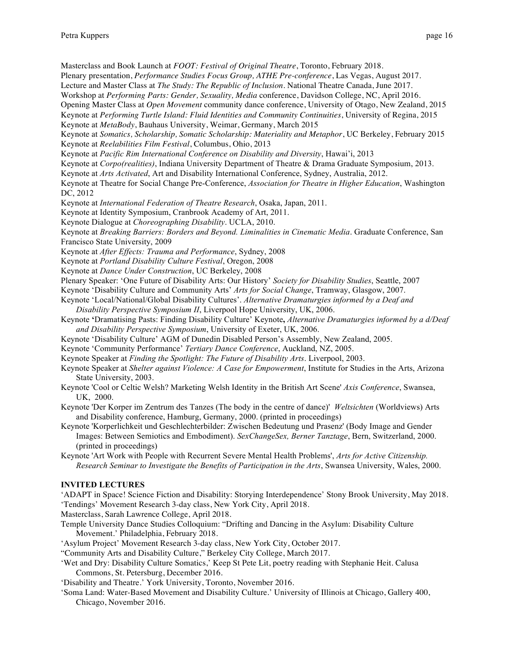Masterclass and Book Launch at *FOOT: Festival of Original Theatre*, Toronto, February 2018.

- Plenary presentation, *Performance Studies Focus Group, ATHE Pre-conference*, Las Vegas, August 2017.
- Lecture and Master Class at *The Study: The Republic of Inclusion*. National Theatre Canada, June 2017.
- Workshop at *Performing Parts: Gender, Sexuality, Media* conference, Davidson College, NC, April 2016.
- Opening Master Class at *Open Movement* community dance conference, University of Otago, New Zealand, 2015
- Keynote at *Performing Turtle Island: Fluid Identities and Community Continuities*, University of Regina, 2015 Keynote at *MetaBody*, Bauhaus University, Weimar, Germany, March 2015

Keynote at *Somatics, Scholarship, Somatic Scholarship: Materiality and Metaphor*, UC Berkeley, February 2015 Keynote at *Reelabilities Film Festival*, Columbus, Ohio, 2013

Keynote at *Pacific Rim International Conference on Disability and Diversity*, Hawai'i, 2013

Keynote at *Corpo(realities)*, Indiana University Department of Theatre & Drama Graduate Symposium, 2013.

Keynote at *Arts Activated*, Art and Disability International Conference, Sydney, Australia, 2012.

Keynote at Theatre for Social Change Pre-Conference, *Association for Theatre in Higher Education*, Washington DC, 2012

Keynote at *International Federation of Theatre Research*, Osaka, Japan, 2011.

Keynote at Identity Symposium, Cranbrook Academy of Art, 2011.

Keynote Dialogue at *Choreographing Disability*. UCLA, 2010.

Keynote at *Breaking Barriers: Borders and Beyond. Liminalities in Cinematic Media*. Graduate Conference, San Francisco State University, 2009

Keynote at *After Effects: Trauma and Performance*, Sydney, 2008

Keynote at *Portland Disability Culture Festival*, Oregon, 2008

Keynote at *Dance Under Construction*, UC Berkeley, 2008

Plenary Speaker: 'One Future of Disability Arts: Our History' *Society for Disability Studies*, Seattle, 2007

Keynote 'Disability Culture and Community Arts' *Arts for Social Change*, Tramway, Glasgow, 2007.

Keynote 'Local/National/Global Disability Cultures'. *Alternative Dramaturgies informed by a Deaf and Disability Perspective Symposium II*, Liverpool Hope University, UK, 2006.

- Keynote **'**Dramatising Pasts: Finding Disability Culture' Keynote**,** *Alternative Dramaturgies informed by a d/Deaf and Disability Perspective Symposium*, University of Exeter, UK, 2006.
- Keynote 'Disability Culture' AGM of Dunedin Disabled Person's Assembly, New Zealand, 2005.
- Keynote 'Community Performance' *Tertiary Dance Conference*, Auckland, NZ, 2005.
- Keynote Speaker at *Finding the Spotlight: The Future of Disability Arts*. Liverpool, 2003.
- Keynote Speaker at *Shelter against Violence: A Case for Empowerment*, Institute for Studies in the Arts, Arizona State University, 2003.
- Keynote 'Cool or Celtic Welsh? Marketing Welsh Identity in the British Art Scene' *Axis Conference*, Swansea, UK, 2000.

Keynote 'Der Korper im Zentrum des Tanzes (The body in the centre of dance)' *Weltsichten* (Worldviews) Arts and Disability conference, Hamburg, Germany, 2000. (printed in proceedings)

Keynote 'Korperlichkeit und Geschlechterbilder: Zwischen Bedeutung und Prasenz' (Body Image and Gender Images: Between Semiotics and Embodiment). *SexChangeSex, Berner Tanztage*, Bern, Switzerland, 2000. (printed in proceedings)

Keynote 'Art Work with People with Recurrent Severe Mental Health Problems', *Arts for Active Citizenship. Research Seminar to Investigate the Benefits of Participation in the Arts*, Swansea University, Wales, 2000.

## **INVITED LECTURES**

'ADAPT in Space! Science Fiction and Disability: Storying Interdependence' Stony Brook University, May 2018. 'Tendings' Movement Research 3-day class, New York City, April 2018.

Masterclass, Sarah Lawrence College, April 2018.

- Temple University Dance Studies Colloquium: "Drifting and Dancing in the Asylum: Disability Culture Movement.' Philadelphia, February 2018.
- 'Asylum Project' Movement Research 3-day class, New York City, October 2017.
- "Community Arts and Disability Culture," Berkeley City College, March 2017.
- 'Wet and Dry: Disability Culture Somatics,' Keep St Pete Lit, poetry reading with Stephanie Heit. Calusa Commons, St. Petersburg, December 2016.

'Disability and Theatre.' York University, Toronto, November 2016.

'Soma Land: Water-Based Movement and Disability Culture.' University of Illinois at Chicago, Gallery 400, Chicago, November 2016.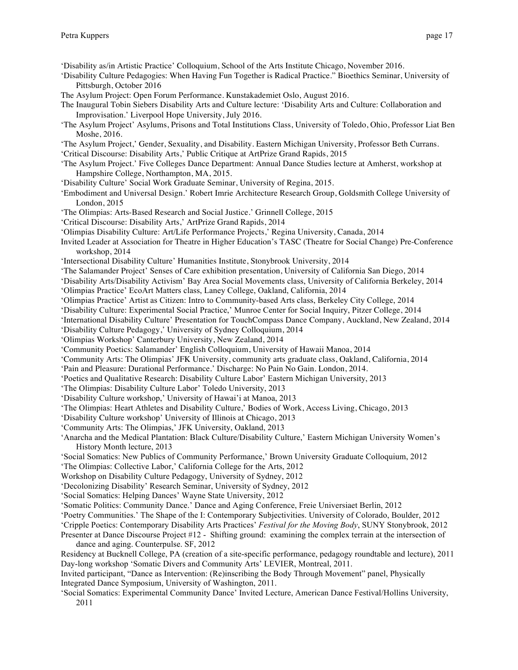'Disability as/in Artistic Practice' Colloquium, School of the Arts Institute Chicago, November 2016.

- 'Disability Culture Pedagogies: When Having Fun Together is Radical Practice." Bioethics Seminar, University of Pittsburgh, October 2016
- The Asylum Project: Open Forum Performance. Kunstakademiet Oslo, August 2016.
- The Inaugural Tobin Siebers Disability Arts and Culture lecture: 'Disability Arts and Culture: Collaboration and Improvisation.' Liverpool Hope University, July 2016.
- 'The Asylum Project' Asylums, Prisons and Total Institutions Class, University of Toledo, Ohio, Professor Liat Ben Moshe, 2016.
- 'The Asylum Project,' Gender, Sexuality, and Disability. Eastern Michigan University, Professor Beth Currans.

'Critical Discourse: Disability Arts,' Public Critique at ArtPrize Grand Rapids, 2015

- 'The Asylum Project.' Five Colleges Dance Department: Annual Dance Studies lecture at Amherst, workshop at Hampshire College, Northampton, MA, 2015.
- 'Disability Culture' Social Work Graduate Seminar, University of Regina, 2015.
- 'Embodiment and Universal Design.' Robert Imrie Architecture Research Group, Goldsmith College University of London, 2015
- 'The Olimpias: Arts-Based Research and Social Justice.' Grinnell College, 2015
- 'Critical Discourse: Disability Arts,' ArtPrize Grand Rapids, 2014
- 'Olimpias Disability Culture: Art/Life Performance Projects,' Regina University, Canada, 2014
- Invited Leader at Association for Theatre in Higher Education's TASC (Theatre for Social Change) Pre-Conference workshop, 2014
- 'Intersectional Disability Culture' Humanities Institute, Stonybrook University, 2014
- 'The Salamander Project' Senses of Care exhibition presentation, University of California San Diego, 2014
- 'Disability Arts/Disability Activism' Bay Area Social Movements class, University of California Berkeley, 2014
- 'Olimpias Practice' EcoArt Matters class, Laney College, Oakland, California, 2014
- 'Olimpias Practice' Artist as Citizen: Intro to Community-based Arts class, Berkeley City College, 2014
- 'Disability Culture: Experimental Social Practice,' Munroe Center for Social Inquiry, Pitzer College, 2014
- 'International Disability Culture' Presentation for TouchCompass Dance Company, Auckland, New Zealand, 2014

'Disability Culture Pedagogy,' University of Sydney Colloquium, 2014

- 'Olimpias Workshop' Canterbury University, New Zealand, 2014
- 'Community Poetics: Salamander' English Colloquium, University of Hawaii Manoa, 2014
- 'Community Arts: The Olimpias' JFK University, community arts graduate class, Oakland, California, 2014
- 'Pain and Pleasure: Durational Performance.' Discharge: No Pain No Gain. London, 2014.
- 'Poetics and Qualitative Research: Disability Culture Labor' Eastern Michigan University, 2013
- 'The Olimpias: Disability Culture Labor' Toledo University, 2013
- 'Disability Culture workshop,' University of Hawai'i at Manoa, 2013
- 'The Olimpias: Heart Athletes and Disability Culture,' Bodies of Work, Access Living, Chicago, 2013
- 'Disability Culture workshop' University of Illinois at Chicago, 2013
- 'Community Arts: The Olimpias,' JFK University, Oakland, 2013
- 'Anarcha and the Medical Plantation: Black Culture/Disability Culture,' Eastern Michigan University Women's History Month lecture, 2013
- 'Social Somatics: New Publics of Community Performance,' Brown University Graduate Colloquium, 2012
- 'The Olimpias: Collective Labor,' California College for the Arts, 2012
- Workshop on Disability Culture Pedagogy, University of Sydney, 2012
- 'Decolonizing Disability' Research Seminar, University of Sydney, 2012
- 'Social Somatics: Helping Dances' Wayne State University, 2012
- 'Somatic Politics: Community Dance.' Dance and Aging Conference, Freie Universiaet Berlin, 2012
- 'Poetry Communities.' The Shape of the I: Contemporary Subjectivities. University of Colorado, Boulder, 2012
- 'Cripple Poetics: Contemporary Disability Arts Practices' *Festival for the Moving Body*, SUNY Stonybrook, 2012
- Presenter at Dance Discourse Project #12 Shifting ground: examining the complex terrain at the intersection of dance and aging. Counterpulse. SF, 2012
- Residency at Bucknell College, PA (creation of a site-specific performance, pedagogy roundtable and lecture), 2011 Day-long workshop 'Somatic Divers and Community Arts' LEVIER, Montreal, 2011.
- Invited participant, "Dance as Intervention: (Re)inscribing the Body Through Movement" panel, Physically Integrated Dance Symposium, University of Washington, 2011.
- 'Social Somatics: Experimental Community Dance' Invited Lecture, American Dance Festival/Hollins University, 2011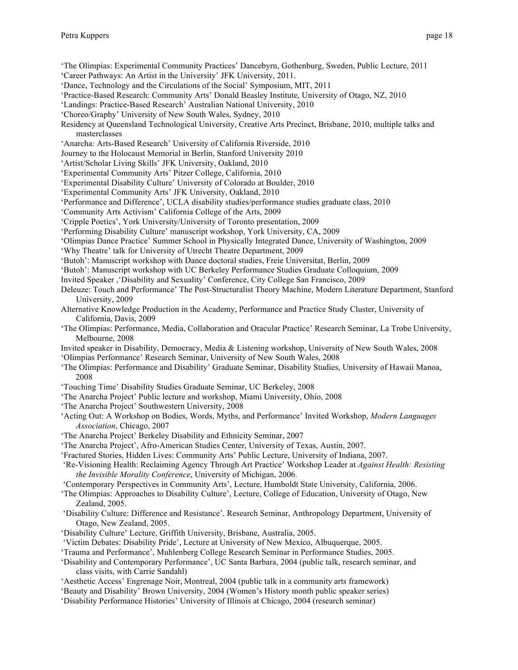'The Olimpias: Experimental Community Practices' Dancebyrn, Gothenburg, Sweden, Public Lecture, 2011

- 'Career Pathways: An Artist in the University' JFK University, 2011.
- 'Dance, Technology and the Circulations of the Social' Symposium, MIT, 2011
- 'Practice-Based Research: Community Arts' Donald Beasley Institute, University of Otago, NZ, 2010
- 'Landings: Practice-Based Research' Australian National University, 2010
- 'Choreo/Graphy' University of New South Wales, Sydney, 2010
- Residency at Queensland Technological University, Creative Arts Precinct, Brisbane, 2010, multiple talks and masterclasses
- 'Anarcha: Arts-Based Research' University of California Riverside, 2010
- Journey to the Holocaust Memorial in Berlin, Stanford University 2010
- 'Artist/Scholar Living Skills' JFK University, Oakland, 2010
- 'Experimental Community Arts' Pitzer College, California, 2010
- 'Experimental Disability Culture' University of Colorado at Boulder, 2010
- 'Experimental Community Arts' JFK University, Oakland, 2010
- 'Performance and Difference', UCLA disability studies/performance studies graduate class, 2010
- 'Community Arts Activism' California College of the Arts, 2009
- 'Cripple Poetics', York University/University of Toronto presentation, 2009
- 'Performing Disability Culture' manuscript workshop, York University, CA, 2009
- 'Olimpias Dance Practice' Summer School in Physically Integrated Dance, University of Washington, 2009
- 'Why Theatre' talk for University of Utrecht Theatre Department, 2009
- 'Butoh': Manuscript workshop with Dance doctoral studies, Freie Universitat, Berlin, 2009
- 'Butoh': Manuscript workshop with UC Berkeley Performance Studies Graduate Colloquium, 2009
- Invited Speaker ,'Disability and Sexuality' Conference, City College San Francisco, 2009
- Deleuze: Touch and Performance' The Post-Structuralist Theory Machine, Modern Literature Department, Stanford University, 2009
- Alternative Knowledge Production in the Academy, Performance and Practice Study Cluster, University of California, Davis, 2009
- 'The Olimpias: Performance, Media, Collaboration and Oracular Practice' Research Seminar, La Trobe University, Melbourne, 2008
- Invited speaker in Disability, Democracy, Media & Listening workshop, University of New South Wales, 2008 'Olimpias Performance' Research Seminar, University of New South Wales, 2008
- 'The Olimpias: Performance and Disability' Graduate Seminar, Disability Studies, University of Hawaii Manoa, 2008
- 'Touching Time' Disability Studies Graduate Seminar, UC Berkeley, 2008
- 'The Anarcha Project' Public lecture and workshop, Miami University, Ohio, 2008
- 'The Anarcha Project' Southwestern University, 2008
- 'Acting Out: A Workshop on Bodies, Words, Myths, and Performance' Invited Workshop, *Modern Languages Association*, Chicago, 2007
- 'The Anarcha Project' Berkeley Disability and Ethnicity Seminar, 2007
- 'The Anarcha Project', Afro-American Studies Center, University of Texas, Austin, 2007.
- 'Fractured Stories, Hidden Lives: Community Arts' Public Lecture, University of Indiana, 2007.
- 'Re-Visioning Health: Reclaiming Agency Through Art Practice' Workshop Leader at *Against Health: Resisting the Invisible Morality Conference*, University of Michigan, 2006.
- 'Contemporary Perspectives in Community Arts', Lecture, Humboldt State University, California, 2006.
- 'The Olimpias: Approaches to Disability Culture', Lecture, College of Education, University of Otago, New Zealand, 2005.
- 'Disability Culture: Difference and Resistance'. Research Seminar, Anthropology Department, University of Otago, New Zealand, 2005.
- 'Disability Culture' Lecture, Griffith University, Brisbane, Australia, 2005.
- 'Victim Debates: Disability Pride', Lecture at University of New Mexico, Albuquerque, 2005.
- 'Trauma and Performance', Muhlenberg College Research Seminar in Performance Studies, 2005.
- 'Disability and Contemporary Performance', UC Santa Barbara, 2004 (public talk, research seminar, and class visits, with Carrie Sandahl)
- 'Aesthetic Access' Engrenage Noir, Montreal, 2004 (public talk in a community arts framework)
- 'Beauty and Disability' Brown University, 2004 (Women's History month public speaker series)
- 'Disability Performance Histories' University of Illinois at Chicago, 2004 (research seminar)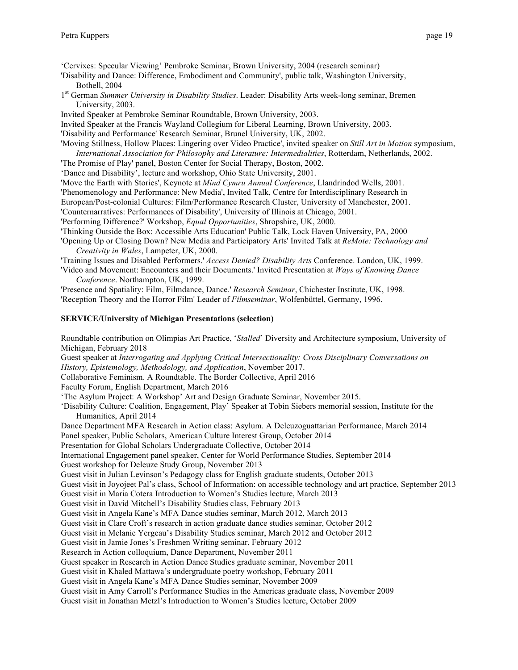'Cervixes: Specular Viewing' Pembroke Seminar, Brown University, 2004 (research seminar)

'Disability and Dance: Difference, Embodiment and Community', public talk, Washington University, Bothell, 2004

1st German *Summer University in Disability Studies*. Leader: Disability Arts week-long seminar, Bremen University, 2003.

Invited Speaker at Pembroke Seminar Roundtable, Brown University, 2003.

Invited Speaker at the Francis Wayland Collegium for Liberal Learning, Brown University, 2003.

'Disability and Performance' Research Seminar, Brunel University, UK, 2002.

'Moving Stillness, Hollow Places: Lingering over Video Practice', invited speaker on *Still Art in Motion* symposium, *International Association for Philosophy and Literature: Intermedialities*, Rotterdam, Netherlands, 2002.

'The Promise of Play' panel, Boston Center for Social Therapy, Boston, 2002.

'Dance and Disability', lecture and workshop, Ohio State University, 2001.

'Move the Earth with Stories', Keynote at *Mind Cymru Annual Conference*, Llandrindod Wells, 2001.

'Phenomenology and Performance: New Media', Invited Talk, Centre for Interdisciplinary Research in

European/Post-colonial Cultures: Film/Performance Research Cluster, University of Manchester, 2001.

'Counternarratives: Performances of Disability', University of Illinois at Chicago, 2001.

'Performing Difference?' Workshop, *Equal Opportunities*, Shropshire, UK, 2000.

'Thinking Outside the Box: Accessible Arts Education' Public Talk, Lock Haven University, PA, 2000

'Opening Up or Closing Down? New Media and Participatory Arts' Invited Talk at *ReMote: Technology and Creativity in Wales*, Lampeter, UK, 2000.

'Training Issues and Disabled Performers.' *Access Denied? Disability Arts* Conference. London, UK, 1999.

'Video and Movement: Encounters and their Documents.' Invited Presentation at *Ways of Knowing Dance Conference*. Northampton, UK, 1999.

'Presence and Spatiality: Film, Filmdance, Dance.' *Research Seminar*, Chichester Institute, UK, 1998. 'Reception Theory and the Horror Film' Leader of *Filmseminar*, Wolfenbüttel, Germany, 1996.

#### **SERVICE/University of Michigan Presentations (selection)**

Roundtable contribution on Olimpias Art Practice, '*Stalled*' Diversity and Architecture symposium, University of Michigan, February 2018

Guest speaker at *Interrogating and Applying Critical Intersectionality: Cross Disciplinary Conversations on History, Epistemology, Methodology, and Application*, November 2017.

Collaborative Feminism. A Roundtable. The Border Collective, April 2016

Faculty Forum, English Department, March 2016

'The Asylum Project: A Workshop' Art and Design Graduate Seminar, November 2015.

'Disability Culture: Coalition, Engagement, Play' Speaker at Tobin Siebers memorial session, Institute for the Humanities, April 2014

Dance Department MFA Research in Action class: Asylum. A Deleuzoguattarian Performance, March 2014

Panel speaker, Public Scholars, American Culture Interest Group, October 2014

Presentation for Global Scholars Undergraduate Collective, October 2014

International Engagement panel speaker, Center for World Performance Studies, September 2014

Guest workshop for Deleuze Study Group, November 2013

Guest visit in Julian Levinson's Pedagogy class for English graduate students, October 2013

Guest visit in Joyojeet Pal's class, School of Information: on accessible technology and art practice, September 2013

Guest visit in Maria Cotera Introduction to Women's Studies lecture, March 2013

Guest visit in David Mitchell's Disability Studies class, February 2013

Guest visit in Angela Kane's MFA Dance studies seminar, March 2012, March 2013

Guest visit in Clare Croft's research in action graduate dance studies seminar, October 2012

Guest visit in Melanie Yergeau's Disability Studies seminar, March 2012 and October 2012

Guest visit in Jamie Jones's Freshmen Writing seminar, February 2012

Research in Action colloquium, Dance Department, November 2011

Guest speaker in Research in Action Dance Studies graduate seminar, November 2011

Guest visit in Khaled Mattawa's undergraduate poetry workshop, February 2011

Guest visit in Angela Kane's MFA Dance Studies seminar, November 2009

Guest visit in Amy Carroll's Performance Studies in the Americas graduate class, November 2009

Guest visit in Jonathan Metzl's Introduction to Women's Studies lecture, October 2009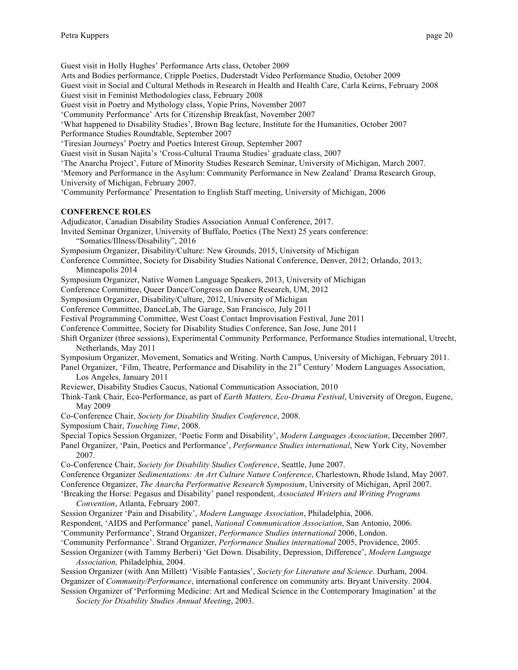Guest visit in Holly Hughes' Performance Arts class, October 2009

Arts and Bodies performance, Cripple Poetics, Duderstadt Video Performance Studio, October 2009

Guest visit in Social and Cultural Methods in Research in Health and Health Care, Carla Keirns, February 2008 Guest visit in Feminist Methodologies class, February 2008

Guest visit in Poetry and Mythology class, Yopie Prins, November 2007

'Community Performance' Arts for Citizenship Breakfast, November 2007

'What happened to Disability Studies', Brown Bag lecture, Institute for the Humanities, October 2007 Performance Studies Roundtable, September 2007

'Tiresian Journeys' Poetry and Poetics Interest Group, September 2007

Guest visit in Susan Najita's 'Cross-Cultural Trauma Studies' graduate class, 2007

'The Anarcha Project', Future of Minority Studies Research Seminar, University of Michigan, March 2007.

'Memory and Performance in the Asylum: Community Performance in New Zealand' Drama Research Group, University of Michigan, February 2007.

'Community Performance' Presentation to English Staff meeting, University of Michigan, 2006

## **CONFERENCE ROLES**

Adjudicator, Canadian Disability Studies Association Annual Conference, 2017.

Invited Seminar Organizer, University of Buffalo, Poetics (The Next) 25 years conference: "Somatics/Illness/Disability", 2016

- Symposium Organizer, Disability/Culture: New Grounds, 2015, University of Michigan
- Conference Committee, Society for Disability Studies National Conference, Denver, 2012; Orlando, 2013; Minneapolis 2014

Symposium Organizer, Native Women Language Speakers, 2013, University of Michigan

Conference Committee, Queer Dance/Congress on Dance Research, UM, 2012

Symposium Organizer, Disability/Culture, 2012, University of Michigan

Conference Committee, DanceLab, The Garage, San Francisco, July 2011

Festival Programming Committee, West Coast Contact Improvisation Festival, June 2011

Conference Committee, Society for Disability Studies Conference, San Jose, June 2011

Shift Organizer (three sessions), Experimental Community Performance, Performance Studies international, Utrecht, Netherlands, May 2011

Symposium Organizer, Movement, Somatics and Writing. North Campus, University of Michigan, February 2011.

Panel Organizer, 'Film, Theatre, Performance and Disability in the 21<sup>st</sup> Century' Modern Languages Association, Los Angeles, January 2011

Reviewer, Disability Studies Caucus, National Communication Association, 2010

Think-Tank Chair, Eco-Performance, as part of *Earth Matters, Eco-Drama Festival*, University of Oregon, Eugene, May 2009

Co-Conference Chair, *Society for Disability Studies Conference*, 2008.

Symposium Chair, *Touching Time*, 2008.

Special Topics Session Organizer, 'Poetic Form and Disability', *Modern Languages Association*, December 2007.

Panel Organizer, 'Pain, Poetics and Performance', *Performance Studies international*, New York City, November 2007.

Co-Conference Chair, *Society for Disability Studies Conference*, Seattle, June 2007.

Conference Organizer *Sedimentations: An Art Culture Nature Conference*, Charlestown, Rhode Island, May 2007. Conference Organizer, *The Anarcha Performative Research Symposium*, University of Michigan, April 2007.

'Breaking the Horse: Pegasus and Disability' panel respondent, *Associated Writers and Writing Programs Convention*, Atlanta, February 2007.

Session Organizer 'Pain and Disability', *Modern Language Association*, Philadelphia, 2006.

Respondent, 'AIDS and Performance' panel, *National Communication Association*, San Antonio, 2006.

- 'Community Performance', Strand Organizer, *Performance Studies international* 2006, London.
- 'Community Performance'. Strand Organizer, *Performance Studies international* 2005, Providence, 2005.
- Session Organizer (with Tammy Berberi) 'Get Down. Disability, Depression, Difference', *Modern Language Association,* Philadelphia, 2004.

Session Organizer (with Ann Millett) 'Visible Fantasies', *Society for Literature and Science*. Durham, 2004. Organizer of *Community/Performance*, international conference on community arts. Bryant University. 2004. Session Organizer of 'Performing Medicine: Art and Medical Science in the Contemporary Imagination' at the

*Society for Disability Studies Annual Meeting*, 2003.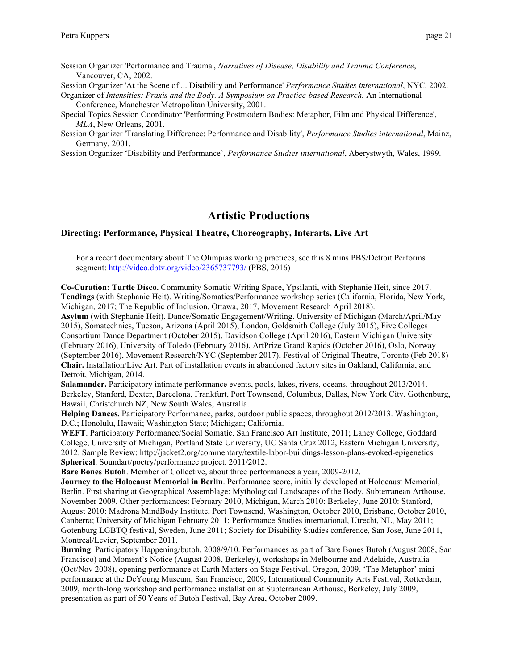Session Organizer 'Performance and Trauma', *Narratives of Disease, Disability and Trauma Conference*, Vancouver, CA, 2002.

Session Organizer 'At the Scene of ... Disability and Performance' *Performance Studies international*, NYC, 2002.

Organizer of *Intensities: Praxis and the Body. A Symposium on Practice-based Research.* An International Conference, Manchester Metropolitan University, 2001.

Special Topics Session Coordinator 'Performing Postmodern Bodies: Metaphor, Film and Physical Difference', *MLA*, New Orleans, 2001.

Session Organizer 'Translating Difference: Performance and Disability', *Performance Studies international*, Mainz, Germany, 2001.

Session Organizer 'Disability and Performance', *Performance Studies international*, Aberystwyth, Wales, 1999.

# **Artistic Productions**

#### **Directing: Performance, Physical Theatre, Choreography, Interarts, Live Art**

For a recent documentary about The Olimpias working practices, see this 8 mins PBS/Detroit Performs segment: http://video.dptv.org/video/2365737793/ (PBS, 2016)

**Co-Curation: Turtle Disco.** Community Somatic Writing Space, Ypsilanti, with Stephanie Heit, since 2017. **Tendings** (with Stephanie Heit). Writing/Somatics/Performance workshop series (California, Florida, New York, Michigan, 2017; The Republic of Inclusion, Ottawa, 2017, Movement Research April 2018).

**Asylum** (with Stephanie Heit). Dance/Somatic Engagement/Writing. University of Michigan (March/April/May 2015), Somatechnics, Tucson, Arizona (April 2015), London, Goldsmith College (July 2015), Five Colleges Consortium Dance Department (October 2015), Davidson College (April 2016), Eastern Michigan University (February 2016), University of Toledo (February 2016), ArtPrize Grand Rapids (October 2016), Oslo, Norway (September 2016), Movement Research/NYC (September 2017), Festival of Original Theatre, Toronto (Feb 2018) **Chair.** Installation/Live Art. Part of installation events in abandoned factory sites in Oakland, California, and Detroit, Michigan, 2014.

**Salamander.** Participatory intimate performance events, pools, lakes, rivers, oceans, throughout 2013/2014. Berkeley, Stanford, Dexter, Barcelona, Frankfurt, Port Townsend, Columbus, Dallas, New York City, Gothenburg, Hawaii, Christchurch NZ, New South Wales, Australia.

**Helping Dances.** Participatory Performance, parks, outdoor public spaces, throughout 2012/2013. Washington, D.C.; Honolulu, Hawaii; Washington State; Michigan; California.

**WEFT**. Participatory Performance/Social Somatic. San Francisco Art Institute, 2011; Laney College, Goddard College, University of Michigan, Portland State University, UC Santa Cruz 2012, Eastern Michigan University, 2012. Sample Review: http://jacket2.org/commentary/textile-labor-buildings-lesson-plans-evoked-epigenetics **Spherical**. Soundart/poetry/performance project. 2011/2012.

**Bare Bones Butoh**. Member of Collective, about three performances a year, 2009-2012.

**Journey to the Holocaust Memorial in Berlin**. Performance score, initially developed at Holocaust Memorial, Berlin. First sharing at Geographical Assemblage: Mythological Landscapes of the Body, Subterranean Arthouse, November 2009. Other performances: February 2010, Michigan, March 2010: Berkeley, June 2010: Stanford, August 2010: Madrona MindBody Institute, Port Townsend, Washington, October 2010, Brisbane, October 2010, Canberra; University of Michigan February 2011; Performance Studies international, Utrecht, NL, May 2011; Gotenburg LGBTQ festival, Sweden, June 2011; Society for Disability Studies conference, San Jose, June 2011, Montreal/Levier, September 2011.

**Burning**. Participatory Happening/butoh, 2008/9/10. Performances as part of Bare Bones Butoh (August 2008, San Francisco) and Moment's Notice (August 2008, Berkeley), workshops in Melbourne and Adelaide, Australia (Oct/Nov 2008), opening performance at Earth Matters on Stage Festival, Oregon, 2009, 'The Metaphor' miniperformance at the DeYoung Museum, San Francisco, 2009, International Community Arts Festival, Rotterdam, 2009, month-long workshop and performance installation at Subterranean Arthouse, Berkeley, July 2009, presentation as part of 50 Years of Butoh Festival, Bay Area, October 2009.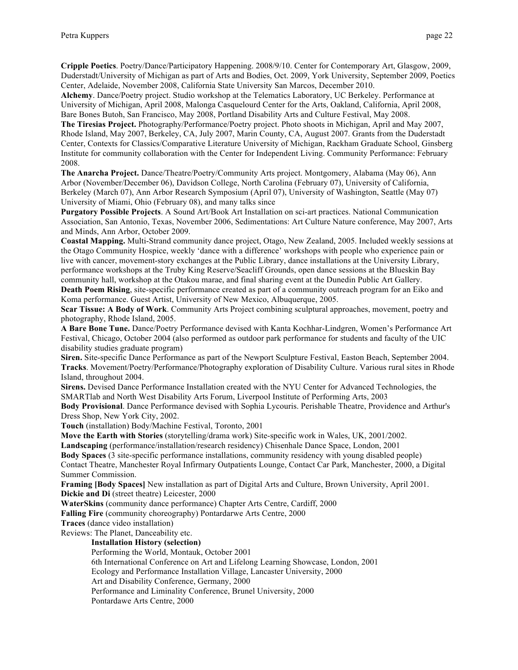**Cripple Poetics**. Poetry/Dance/Participatory Happening. 2008/9/10. Center for Contemporary Art, Glasgow, 2009, Duderstadt/University of Michigan as part of Arts and Bodies, Oct. 2009, York University, September 2009, Poetics Center, Adelaide, November 2008, California State University San Marcos, December 2010.

**Alchemy**. Dance/Poetry project. Studio workshop at the Telematics Laboratory, UC Berkeley. Performance at University of Michigan, April 2008, Malonga Casquelourd Center for the Arts, Oakland, California, April 2008, Bare Bones Butoh, San Francisco, May 2008, Portland Disability Arts and Culture Festival, May 2008.

**The Tiresias Project.** Photography/Performance/Poetry project. Photo shoots in Michigan, April and May 2007, Rhode Island, May 2007, Berkeley, CA, July 2007, Marin County, CA, August 2007. Grants from the Duderstadt Center, Contexts for Classics/Comparative Literature University of Michigan, Rackham Graduate School, Ginsberg Institute for community collaboration with the Center for Independent Living. Community Performance: February 2008.

**The Anarcha Project.** Dance/Theatre/Poetry/Community Arts project. Montgomery, Alabama (May 06), Ann Arbor (November/December 06), Davidson College, North Carolina (February 07), University of California, Berkeley (March 07), Ann Arbor Research Symposium (April 07), University of Washington, Seattle (May 07) University of Miami, Ohio (February 08), and many talks since

**Purgatory Possible Projects**. A Sound Art/Book Art Installation on sci-art practices. National Communication Association, San Antonio, Texas, November 2006, Sedimentations: Art Culture Nature conference, May 2007, Arts and Minds, Ann Arbor, October 2009.

**Coastal Mapping.** Multi-Strand community dance project, Otago, New Zealand, 2005. Included weekly sessions at the Otago Community Hospice, weekly 'dance with a difference' workshops with people who experience pain or live with cancer, movement-story exchanges at the Public Library, dance installations at the University Library, performance workshops at the Truby King Reserve/Seacliff Grounds, open dance sessions at the Blueskin Bay community hall, workshop at the Otakou marae, and final sharing event at the Dunedin Public Art Gallery.

**Death Poem Rising**, site-specific performance created as part of a community outreach program for an Eiko and Koma performance. Guest Artist, University of New Mexico, Albuquerque, 2005.

**Scar Tissue: A Body of Work**. Community Arts Project combining sculptural approaches, movement, poetry and photography, Rhode Island, 2005.

**A Bare Bone Tune.** Dance/Poetry Performance devised with Kanta Kochhar-Lindgren, Women's Performance Art Festival, Chicago, October 2004 (also performed as outdoor park performance for students and faculty of the UIC disability studies graduate program)

**Siren.** Site-specific Dance Performance as part of the Newport Sculpture Festival, Easton Beach, September 2004. **Tracks**. Movement/Poetry/Performance/Photography exploration of Disability Culture. Various rural sites in Rhode Island, throughout 2004.

**Sirens.** Devised Dance Performance Installation created with the NYU Center for Advanced Technologies, the SMARTlab and North West Disability Arts Forum, Liverpool Institute of Performing Arts, 2003

**Body Provisional**. Dance Performance devised with Sophia Lycouris. Perishable Theatre, Providence and Arthur's Dress Shop, New York City, 2002.

**Touch** (installation) Body/Machine Festival, Toronto, 2001

**Move the Earth with Stories** (storytelling/drama work) Site-specific work in Wales, UK, 2001/2002.

**Landscaping** (performance/installation/research residency) Chisenhale Dance Space, London, 2001

**Body Spaces** (3 site-specific performance installations, community residency with young disabled people) Contact Theatre, Manchester Royal Infirmary Outpatients Lounge, Contact Car Park, Manchester, 2000, a Digital Summer Commission.

**Framing [Body Spaces]** New installation as part of Digital Arts and Culture, Brown University, April 2001.

**Dickie and Di** (street theatre) Leicester, 2000

**WaterSkins** (community dance performance) Chapter Arts Centre, Cardiff, 2000

**Falling Fire** (community choreography) Pontardarwe Arts Centre, 2000

**Traces** (dance video installation)

Reviews: The Planet, Danceability etc.

**Installation History (selection)**

Performing the World, Montauk, October 2001

6th International Conference on Art and Lifelong Learning Showcase, London, 2001

Ecology and Performance Installation Village, Lancaster University, 2000

Art and Disability Conference, Germany, 2000

Performance and Liminality Conference, Brunel University, 2000

Pontardawe Arts Centre, 2000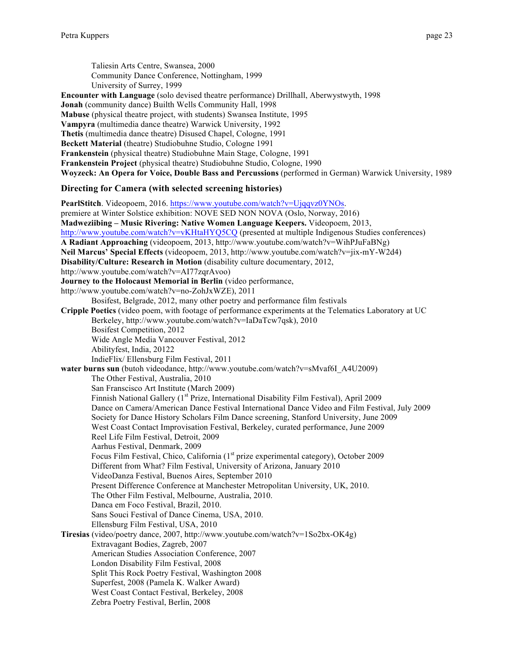Taliesin Arts Centre, Swansea, 2000 Community Dance Conference, Nottingham, 1999 University of Surrey, 1999

**Encounter with Language** (solo devised theatre performance) Drillhall, Aberwystwyth, 1998 **Jonah** (community dance) Builth Wells Community Hall, 1998 **Mabuse** (physical theatre project, with students) Swansea Institute, 1995 **Vampyra** (multimedia dance theatre) Warwick University, 1992 **Thetis** (multimedia dance theatre) Disused Chapel, Cologne, 1991 **Beckett Material** (theatre) Studiobuhne Studio, Cologne 1991 **Frankenstein** (physical theatre) Studiobuhne Main Stage, Cologne, 1991 **Frankenstein Project** (physical theatre) Studiobuhne Studio, Cologne, 1990 **Woyzeck: An Opera for Voice, Double Bass and Percussions** (performed in German) Warwick University, 1989

## **Directing for Camera (with selected screening histories)**

**PearlStitch**. Videopoem, 2016. https://www.youtube.com/watch?v=Ujqqvz0YNOs. premiere at Winter Solstice exhibition: NOVE SED NON NOVA (Oslo, Norway, 2016) **Madweziibing – Music Rivering: Native Women Language Keepers.** Videopoem, 2013, http://www.youtube.com/watch?v=vKHtaHYQ5CQ (presented at multiple Indigenous Studies conferences) **A Radiant Approaching** (videopoem, 2013, http://www.youtube.com/watch?v=WihPJuFaBNg) **Neil Marcus' Special Effects** (videopoem, 2013, http://www.youtube.com/watch?v=jix-mY-W2d4) **Disability/Culture: Research in Motion** (disability culture documentary, 2012, http://www.youtube.com/watch?v=AI77zqrAvoo) **Journey to the Holocaust Memorial in Berlin** (video performance, http://www.youtube.com/watch?v=no-ZohJxWZE), 2011 Bosifest, Belgrade, 2012, many other poetry and performance film festivals **Cripple Poetics** (video poem, with footage of performance experiments at the Telematics Laboratory at UC Berkeley, http://www.youtube.com/watch?v=IaDaTcw7qsk), 2010 Bosifest Competition, 2012 Wide Angle Media Vancouver Festival, 2012 Abilityfest, India, 20122 IndieFlix/ Ellensburg Film Festival, 2011 **water burns sun** (butoh videodance, http://www.youtube.com/watch?v=sMvaf6I\_A4U2009) The Other Festival, Australia, 2010 San Franscisco Art Institute (March 2009) Finnish National Gallery (1<sup>st</sup> Prize, International Disability Film Festival), April 2009 Dance on Camera/American Dance Festival International Dance Video and Film Festival, July 2009 Society for Dance History Scholars Film Dance screening, Stanford University, June 2009 West Coast Contact Improvisation Festival, Berkeley, curated performance, June 2009 Reel Life Film Festival, Detroit, 2009 Aarhus Festival, Denmark, 2009 Focus Film Festival, Chico, California (1<sup>st</sup> prize experimental category), October 2009 Different from What? Film Festival, University of Arizona, January 2010 VideoDanza Festival, Buenos Aires, September 2010 Present Difference Conference at Manchester Metropolitan University, UK, 2010. The Other Film Festival, Melbourne, Australia, 2010. Danca em Foco Festival, Brazil, 2010. Sans Souci Festival of Dance Cinema, USA, 2010. Ellensburg Film Festival, USA, 2010 **Tiresias** (video/poetry dance, 2007, http://www.youtube.com/watch?v=1So2bx-OK4g) Extravagant Bodies, Zagreb, 2007 American Studies Association Conference, 2007 London Disability Film Festival, 2008 Split This Rock Poetry Festival, Washington 2008 Superfest, 2008 (Pamela K. Walker Award) West Coast Contact Festival, Berkeley, 2008 Zebra Poetry Festival, Berlin, 2008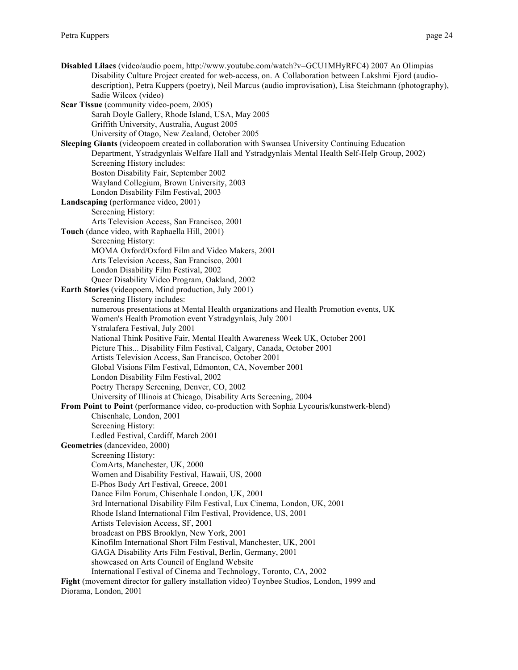**Disabled Lilacs** (video/audio poem, http://www.youtube.com/watch?v=GCU1MHyRFC4) 2007 An Olimpias Disability Culture Project created for web-access, on. A Collaboration between Lakshmi Fjord (audiodescription), Petra Kuppers (poetry), Neil Marcus (audio improvisation), Lisa Steichmann (photography), Sadie Wilcox (video) **Scar Tissue** (community video-poem, 2005) Sarah Doyle Gallery, Rhode Island, USA, May 2005 Griffith University, Australia, August 2005 University of Otago, New Zealand, October 2005 **Sleeping Giants** (videopoem created in collaboration with Swansea University Continuing Education Department, Ystradgynlais Welfare Hall and Ystradgynlais Mental Health Self-Help Group, 2002) Screening History includes: Boston Disability Fair, September 2002 Wayland Collegium, Brown University, 2003 London Disability Film Festival, 2003 **Landscaping** (performance video, 2001) Screening History: Arts Television Access, San Francisco, 2001 **Touch** (dance video, with Raphaella Hill, 2001) Screening History: MOMA Oxford/Oxford Film and Video Makers, 2001 Arts Television Access, San Francisco, 2001 London Disability Film Festival, 2002 Queer Disability Video Program, Oakland, 2002 **Earth Stories** (videopoem, Mind production, July 2001) Screening History includes: numerous presentations at Mental Health organizations and Health Promotion events, UK Women's Health Promotion event Ystradgynlais, July 2001 Ystralafera Festival, July 2001 National Think Positive Fair, Mental Health Awareness Week UK, October 2001 Picture This... Disability Film Festival, Calgary, Canada, October 2001 Artists Television Access, San Francisco, October 2001 Global Visions Film Festival, Edmonton, CA, November 2001 London Disability Film Festival, 2002 Poetry Therapy Screening, Denver, CO, 2002 University of Illinois at Chicago, Disability Arts Screening, 2004 **From Point to Point** (performance video, co-production with Sophia Lycouris/kunstwerk-blend) Chisenhale, London, 2001 Screening History: Ledled Festival, Cardiff, March 2001 **Geometries** (dancevideo, 2000) Screening History: ComArts, Manchester, UK, 2000 Women and Disability Festival, Hawaii, US, 2000 E-Phos Body Art Festival, Greece, 2001 Dance Film Forum, Chisenhale London, UK, 2001 3rd International Disability Film Festival, Lux Cinema, London, UK, 2001 Rhode Island International Film Festival, Providence, US, 2001 Artists Television Access, SF, 2001 broadcast on PBS Brooklyn, New York, 2001 Kinofilm International Short Film Festival, Manchester, UK, 2001 GAGA Disability Arts Film Festival, Berlin, Germany, 2001 showcased on Arts Council of England Website International Festival of Cinema and Technology, Toronto, CA, 2002 **Fight** (movement director for gallery installation video) Toynbee Studios, London, 1999 and Diorama, London, 2001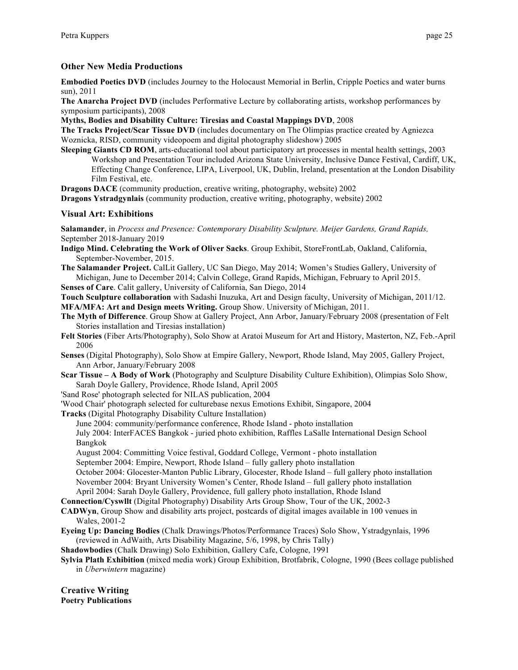## **Other New Media Productions**

**Embodied Poetics DVD** (includes Journey to the Holocaust Memorial in Berlin, Cripple Poetics and water burns sun), 2011

**The Anarcha Project DVD** (includes Performative Lecture by collaborating artists, workshop performances by symposium participants), 2008

**Myths, Bodies and Disability Culture: Tiresias and Coastal Mappings DVD**, 2008

**The Tracks Project/Scar Tissue DVD** (includes documentary on The Olimpias practice created by Agniezca Woznicka, RISD, community videopoem and digital photography slideshow) 2005

**Sleeping Giants CD ROM**, arts-educational tool about participatory art processes in mental health settings, 2003 Workshop and Presentation Tour included Arizona State University, Inclusive Dance Festival, Cardiff, UK, Effecting Change Conference, LIPA, Liverpool, UK, Dublin, Ireland, presentation at the London Disability Film Festival, etc.

**Dragons DACE** (community production, creative writing, photography, website) 2002 **Dragons Ystradgynlais** (community production, creative writing, photography, website) 2002

## **Visual Art: Exhibitions**

**Salamander**, in *Process and Presence: Contemporary Disability Sculpture. Meijer Gardens, Grand Rapids,*  September 2018-January 2019

- **Indigo Mind. Celebrating the Work of Oliver Sacks**. Group Exhibit, StoreFrontLab, Oakland, California, September-November, 2015.
- **The Salamander Project.** CalLit Gallery, UC San Diego, May 2014; Women's Studies Gallery, University of Michigan, June to December 2014; Calvin College, Grand Rapids, Michigan, February to April 2015.

**Senses of Care**. Calit gallery, University of California, San Diego, 2014

**Touch Sculpture collaboration** with Sadashi Inuzuka, Art and Design faculty, University of Michigan, 2011/12. **MFA/MFA: Art and Design meets Writing.** Group Show. University of Michigan, 2011.

- **The Myth of Difference**. Group Show at Gallery Project, Ann Arbor, January/February 2008 (presentation of Felt Stories installation and Tiresias installation)
- **Felt Stories** (Fiber Arts/Photography), Solo Show at Aratoi Museum for Art and History, Masterton, NZ, Feb.-April 2006
- **Senses** (Digital Photography), Solo Show at Empire Gallery, Newport, Rhode Island, May 2005, Gallery Project, Ann Arbor, January/February 2008
- **Scar Tissue – A Body of Work** (Photography and Sculpture Disability Culture Exhibition), Olimpias Solo Show, Sarah Doyle Gallery, Providence, Rhode Island, April 2005

'Sand Rose' photograph selected for NILAS publication, 2004

'Wood Chair' photograph selected for culturebase nexus Emotions Exhibit, Singapore, 2004

**Tracks** (Digital Photography Disability Culture Installation)

June 2004: community/performance conference, Rhode Island - photo installation July 2004: InterFACES Bangkok - juried photo exhibition, Raffles LaSalle International Design School

Bangkok

August 2004: Committing Voice festival, Goddard College, Vermont - photo installation

September 2004: Empire, Newport, Rhode Island – fully gallery photo installation

October 2004: Glocester-Manton Public Library, Glocester, Rhode Island – full gallery photo installation November 2004: Bryant University Women's Center, Rhode Island – full gallery photo installation April 2004: Sarah Doyle Gallery, Providence, full gallery photo installation, Rhode Island

**Connection/Cyswllt** (Digital Photography) Disability Arts Group Show, Tour of the UK, 2002-3

- **CADWyn**, Group Show and disability arts project, postcards of digital images available in 100 venues in Wales, 2001-2
- **Eyeing Up: Dancing Bodies** (Chalk Drawings/Photos/Performance Traces) Solo Show, Ystradgynlais, 1996 (reviewed in AdWaith, Arts Disability Magazine, 5/6, 1998, by Chris Tally)

**Shadowbodies** (Chalk Drawing) Solo Exhibition, Gallery Cafe, Cologne, 1991

**Sylvia Plath Exhibition** (mixed media work) Group Exhibition, Brotfabrik, Cologne, 1990 (Bees collage published in *Uberwintern* magazine)

**Creative Writing Poetry Publications**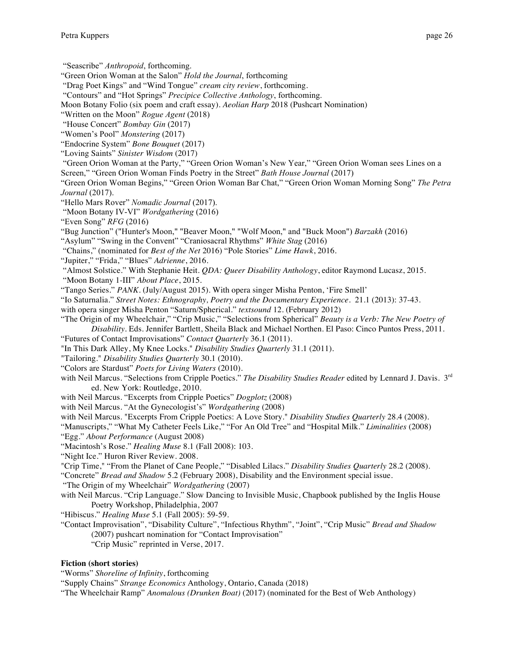"Seascribe" *Anthropoid*, forthcoming.

"Green Orion Woman at the Salon" *Hold the Journal*, forthcoming

"Drag Poet Kings" and "Wind Tongue" *cream city review*, forthcoming.

"Contours" and "Hot Springs" *Precipice Collective Anthology*, forthcoming.

Moon Botany Folio (six poem and craft essay). *Aeolian Harp* 2018 (Pushcart Nomination)

"Written on the Moon" *Rogue Agent* (2018)

"House Concert" *Bombay Gin* (2017)

"Women's Pool" *Monstering* (2017)

"Endocrine System" *Bone Bouquet* (2017)

"Loving Saints" *Sinister Wisdom* (2017)

"Green Orion Woman at the Party," "Green Orion Woman's New Year," "Green Orion Woman sees Lines on a Screen," "Green Orion Woman Finds Poetry in the Street" *Bath House Journal* (2017)

"Green Orion Woman Begins," "Green Orion Woman Bar Chat," "Green Orion Woman Morning Song" *The Petra Journal* (2017).

"Hello Mars Rover" *Nomadic Journal* (2017).

"Moon Botany IV-VI" *Wordgathering* (2016)

"Even Song" *RFG* (2016)

"Bug Junction" ("Hunter's Moon," "Beaver Moon," "Wolf Moon," and "Buck Moon") *Barzakh* (2016)

"Asylum" "Swing in the Convent" "Craniosacral Rhythms" *White Stag* (2016)

"Chains," (nominated for *Best of the Net* 2016) "Pole Stories" *Lime Hawk*, 2016.

"Jupiter," "Frida," "Blues" *Adrienne*, 2016.

"Almost Solstice." With Stephanie Heit. *QDA: Queer Disability Anthology*, editor Raymond Lucasz, 2015.

"Moon Botany 1-III" *About Place*, 2015.

"Tango Series." *PANK*. (July/August 2015). With opera singer Misha Penton, 'Fire Smell'

"Io Saturnalia." *Street Notes: Ethnography, Poetry and the Documentary Experience*. 21.1 (2013): 37-43.

with opera singer Misha Penton "Saturn/Spherical." *textsound* 12. (February 2012)

"The Origin of my Wheelchair," "Crip Music," "Selections from Spherical" *Beauty is a Verb: The New Poetry of Disability*. Eds. Jennifer Bartlett, Sheila Black and Michael Northen. El Paso: Cinco Puntos Press, 2011.

"Futures of Contact Improvisations" *Contact Quarterly* 36.1 (2011).

"In This Dark Alley, My Knee Locks." *Disability Studies Quarterly* 31.1 (2011).

"Tailoring." *Disability Studies Quarterly* 30.1 (2010).

"Colors are Stardust" *Poets for Living Waters* (2010).

with Neil Marcus. "Selections from Cripple Poetics." *The Disability Studies Reader* edited by Lennard J. Davis. 3rd ed. New York: Routledge, 2010.

with Neil Marcus. "Excerpts from Cripple Poetics" *Dogplotz* (2008)

with Neil Marcus. "At the Gynecologist's" *Wordgathering* (2008)

with Neil Marcus. "Excerpts From Cripple Poetics: A Love Story." *Disability Studies Quarterly* 28.4 (2008).

"Manuscripts," "What My Catheter Feels Like," "For An Old Tree" and "Hospital Milk." *Liminalities* (2008) "Egg." *About Performance* (August 2008)

"Macintosh's Rose." *Healing Muse* 8.1 (Fall 2008): 103.

"Night Ice." Huron River Review. 2008.

"Crip Time," "From the Planet of Cane People," "Disabled Lilacs." *Disability Studies Quarterly* 28.2 (2008).

"Concrete" *Bread and Shadow* 5.2 (February 2008), Disability and the Environment special issue.

"The Origin of my Wheelchair" *Wordgathering* (2007)

with Neil Marcus. "Crip Language." Slow Dancing to Invisible Music, Chapbook published by the Inglis House Poetry Workshop, Philadelphia, 2007

"Hibiscus." *Healing Muse* 5.1 (Fall 2005): 59-59.

"Contact Improvisation", "Disability Culture", "Infectious Rhythm", "Joint", "Crip Music" *Bread and Shadow* (2007) pushcart nomination for "Contact Improvisation"

"Crip Music" reprinted in Verse, 2017.

## **Fiction (short stories)**

"Worms" *Shoreline of Infinity*, forthcoming

"Supply Chains" *Strange Economics* Anthology, Ontario, Canada (2018)

"The Wheelchair Ramp" *Anomalous (Drunken Boat)* (2017) (nominated for the Best of Web Anthology)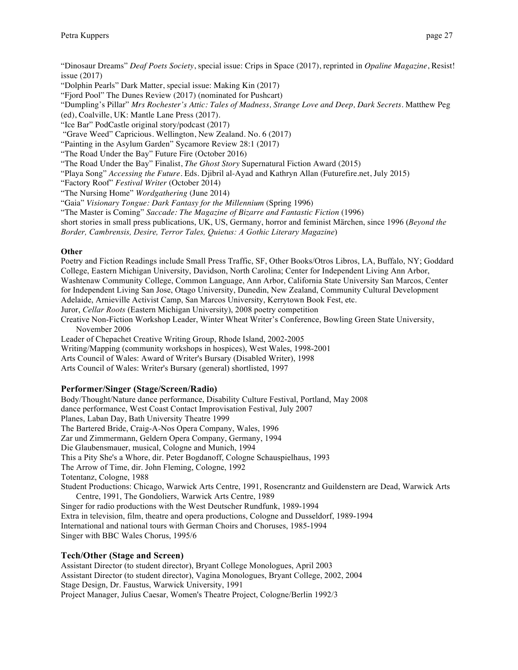"Dinosaur Dreams" *Deaf Poets Society*, special issue: Crips in Space (2017), reprinted in *Opaline Magazine*, Resist! issue (2017)

"Dolphin Pearls" Dark Matter, special issue: Making Kin (2017)

"Fjord Pool" The Dunes Review (2017) (nominated for Pushcart)

"Dumpling's Pillar" *Mrs Rochester's Attic: Tales of Madness, Strange Love and Deep, Dark Secrets*. Matthew Peg (ed), Coalville, UK: Mantle Lane Press (2017).

"Ice Bar" PodCastle original story/podcast (2017)

"Grave Weed" Capricious. Wellington, New Zealand. No. 6 (2017)

"Painting in the Asylum Garden" Sycamore Review 28:1 (2017)

"The Road Under the Bay" Future Fire (October 2016)

"The Road Under the Bay" Finalist, *The Ghost Story* Supernatural Fiction Award (2015)

"Playa Song" *Accessing the Future*. Eds. Djibril al-Ayad and Kathryn Allan (Futurefire.net, July 2015)

"Factory Roof" *Festival Writer* (October 2014)

"The Nursing Home" *Wordgathering* (June 2014)

"Gaia" *Visionary Tongue: Dark Fantasy for the Millennium* (Spring 1996)

"The Master is Coming" *Saccade: The Magazine of Bizarre and Fantastic Fiction* (1996)

short stories in small press publications, UK, US, Germany, horror and feminist Märchen, since 1996 (*Beyond the Border, Cambrensis, Desire, Terror Tales, Quietus: A Gothic Literary Magazine*)

## **Other**

Poetry and Fiction Readings include Small Press Traffic, SF, Other Books/Otros Libros, LA, Buffalo, NY; Goddard College, Eastern Michigan University, Davidson, North Carolina; Center for Independent Living Ann Arbor, Washtenaw Community College, Common Language, Ann Arbor, California State University San Marcos, Center for Independent Living San Jose, Otago University, Dunedin, New Zealand, Community Cultural Development Adelaide, Arnieville Activist Camp, San Marcos University, Kerrytown Book Fest, etc.

Juror, *Cellar Roots* (Eastern Michigan University), 2008 poetry competition

Creative Non-Fiction Workshop Leader, Winter Wheat Writer's Conference, Bowling Green State University, November 2006

Leader of Chepachet Creative Writing Group, Rhode Island, 2002-2005

Writing/Mapping (community workshops in hospices), West Wales, 1998-2001

Arts Council of Wales: Award of Writer's Bursary (Disabled Writer), 1998

Arts Council of Wales: Writer's Bursary (general) shortlisted, 1997

## **Performer/Singer (Stage/Screen/Radio)**

Body/Thought/Nature dance performance, Disability Culture Festival, Portland, May 2008 dance performance, West Coast Contact Improvisation Festival, July 2007 Planes, Laban Day, Bath University Theatre 1999 The Bartered Bride, Craig-A-Nos Opera Company, Wales, 1996 Zar und Zimmermann, Geldern Opera Company, Germany, 1994 Die Glaubensmauer, musical, Cologne and Munich, 1994 This a Pity She's a Whore, dir. Peter Bogdanoff, Cologne Schauspielhaus, 1993 The Arrow of Time, dir. John Fleming, Cologne, 1992 Totentanz, Cologne, 1988 Student Productions: Chicago, Warwick Arts Centre, 1991, Rosencrantz and Guildenstern are Dead, Warwick Arts Centre, 1991, The Gondoliers, Warwick Arts Centre, 1989 Singer for radio productions with the West Deutscher Rundfunk, 1989-1994 Extra in television, film, theatre and opera productions, Cologne and Dusseldorf, 1989-1994 International and national tours with German Choirs and Choruses, 1985-1994

Singer with BBC Wales Chorus, 1995/6

## **Tech/Other (Stage and Screen)**

Assistant Director (to student director), Bryant College Monologues, April 2003 Assistant Director (to student director), Vagina Monologues, Bryant College, 2002, 2004 Stage Design, Dr. Faustus, Warwick University, 1991 Project Manager, Julius Caesar, Women's Theatre Project, Cologne/Berlin 1992/3